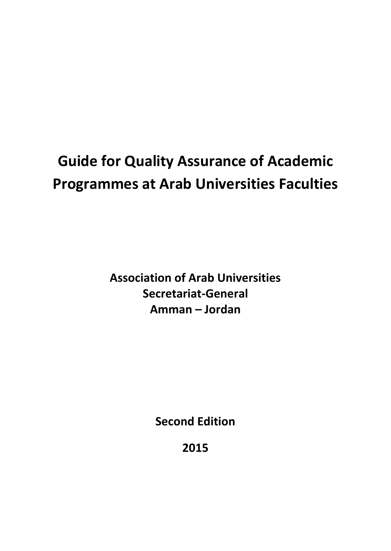# **Guide for Quality Assurance of Academic Programmes at Arab Universities Faculties**

**Association of Arab Universities Secretariat-General Amman – Jordan**

**Second Edition**

**2015**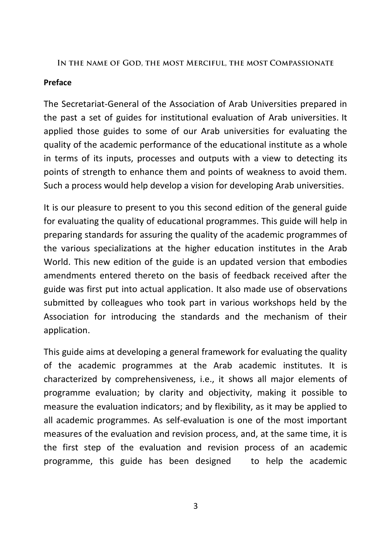IN THE NAME OF GOD, THE MOST MERCIFUL, THE MOST COMPASSIONATE

#### **Preface**

The Secretariat-General of the Association of Arab Universities prepared in the past a set of guides for institutional evaluation of Arab universities. It applied those guides to some of our Arab universities for evaluating the quality of the academic performance of the educational institute as a whole in terms of its inputs, processes and outputs with a view to detecting its points of strength to enhance them and points of weakness to avoid them. Such a process would help develop a vision for developing Arab universities.

It is our pleasure to present to you this second edition of the general guide for evaluating the quality of educational programmes. This guide will help in preparing standards for assuring the quality of the academic programmes of the various specializations at the higher education institutes in the Arab World. This new edition of the guide is an updated version that embodies amendments entered thereto on the basis of feedback received after the guide was first put into actual application. It also made use of observations submitted by colleagues who took part in various workshops held by the Association for introducing the standards and the mechanism of their application.

This guide aims at developing a general framework for evaluating the quality of the academic programmes at the Arab academic institutes. It is characterized by comprehensiveness, i.e., it shows all major elements of programme evaluation; by clarity and objectivity, making it possible to measure the evaluation indicators; and by flexibility, as it may be applied to all academic programmes. As self-evaluation is one of the most important measures of the evaluation and revision process, and, at the same time, it is the first step of the evaluation and revision process of an academic programme, this guide has been designed to help the academic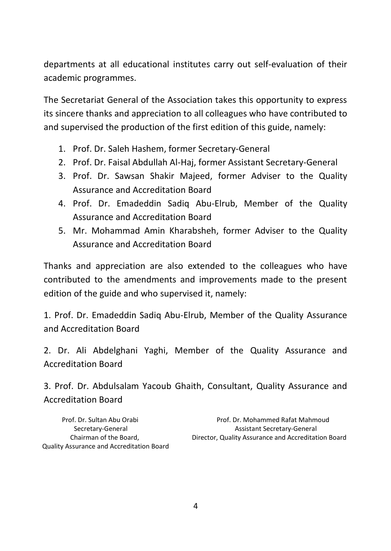departments at all educational institutes carry out self-evaluation of their academic programmes.

The Secretariat General of the Association takes this opportunity to express its sincere thanks and appreciation to all colleagues who have contributed to and supervised the production of the first edition of this guide, namely:

- 1. Prof. Dr. Saleh Hashem, former Secretary-General
- 2. Prof. Dr. Faisal Abdullah Al-Haj, former Assistant Secretary-General
- 3. Prof. Dr. Sawsan Shakir Majeed, former Adviser to the Quality Assurance and Accreditation Board
- 4. Prof. Dr. Emadeddin Sadiq Abu-Elrub, Member of the Quality Assurance and Accreditation Board
- 5. Mr. Mohammad Amin Kharabsheh, former Adviser to the Quality Assurance and Accreditation Board

Thanks and appreciation are also extended to the colleagues who have contributed to the amendments and improvements made to the present edition of the guide and who supervised it, namely:

1. Prof. Dr. Emadeddin Sadiq Abu-Elrub, Member of the Quality Assurance and Accreditation Board

2. Dr. Ali Abdelghani Yaghi, Member of the Quality Assurance and Accreditation Board

3. Prof. Dr. Abdulsalam Yacoub Ghaith, Consultant, Quality Assurance and Accreditation Board

Quality Assurance and Accreditation Board

 Prof. Dr. Sultan Abu Orabi Prof. Dr. Mohammed Rafat Mahmoud Secretary-General Assistant Secretary-General Chairman of the Board, Director, Quality Assurance and Accreditation Board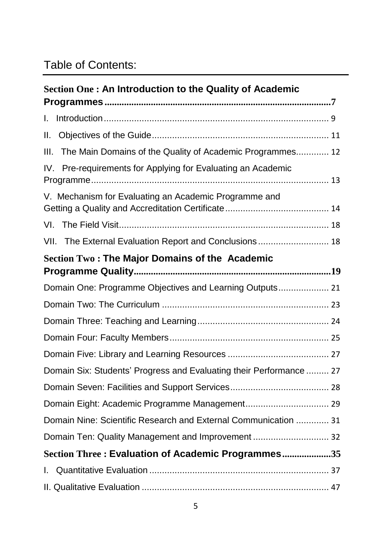# Table of Contents:

| <b>Section One: An Introduction to the Quality of Academic</b>      |
|---------------------------------------------------------------------|
|                                                                     |
| L.                                                                  |
| II.                                                                 |
| The Main Domains of the Quality of Academic Programmes 12<br>III.   |
| Pre-requirements for Applying for Evaluating an Academic<br>IV.     |
| V. Mechanism for Evaluating an Academic Programme and               |
|                                                                     |
| VII. The External Evaluation Report and Conclusions 18              |
| <b>Section Two: The Major Domains of the Academic</b>               |
|                                                                     |
| Domain One: Programme Objectives and Learning Outputs 21            |
|                                                                     |
|                                                                     |
|                                                                     |
|                                                                     |
| Domain Six: Students' Progress and Evaluating their Performance  27 |
|                                                                     |
|                                                                     |
| Domain Nine: Scientific Research and External Communication  31     |
| Domain Ten: Quality Management and Improvement  32                  |
| Section Three: Evaluation of Academic Programmes35                  |
| L.                                                                  |
|                                                                     |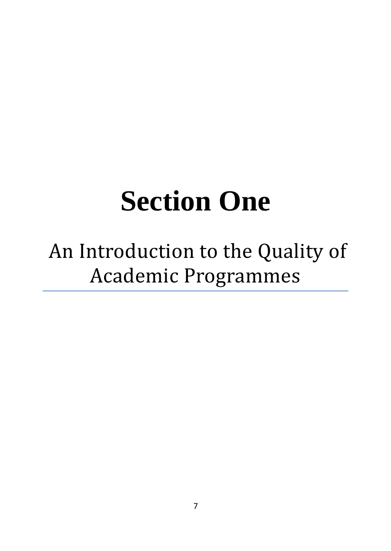# **Section One**

# <span id="page-6-0"></span>An Introduction to the Quality of Academic Programmes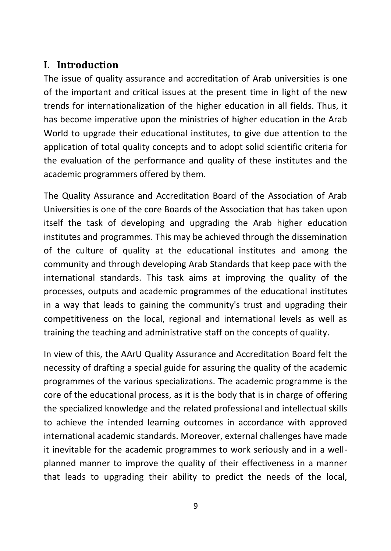#### <span id="page-8-0"></span>**I. Introduction**

The issue of quality assurance and accreditation of Arab universities is one of the important and critical issues at the present time in light of the new trends for internationalization of the higher education in all fields. Thus, it has become imperative upon the ministries of higher education in the Arab World to upgrade their educational institutes, to give due attention to the application of total quality concepts and to adopt solid scientific criteria for the evaluation of the performance and quality of these institutes and the academic programmers offered by them.

The Quality Assurance and Accreditation Board of the Association of Arab Universities is one of the core Boards of the Association that has taken upon itself the task of developing and upgrading the Arab higher education institutes and programmes. This may be achieved through the dissemination of the culture of quality at the educational institutes and among the community and through developing Arab Standards that keep pace with the international standards. This task aims at improving the quality of the processes, outputs and academic programmes of the educational institutes in a way that leads to gaining the community's trust and upgrading their competitiveness on the local, regional and international levels as well as training the teaching and administrative staff on the concepts of quality.

In view of this, the AArU Quality Assurance and Accreditation Board felt the necessity of drafting a special guide for assuring the quality of the academic programmes of the various specializations. The academic programme is the core of the educational process, as it is the body that is in charge of offering the specialized knowledge and the related professional and intellectual skills to achieve the intended learning outcomes in accordance with approved international academic standards. Moreover, external challenges have made it inevitable for the academic programmes to work seriously and in a wellplanned manner to improve the quality of their effectiveness in a manner that leads to upgrading their ability to predict the needs of the local,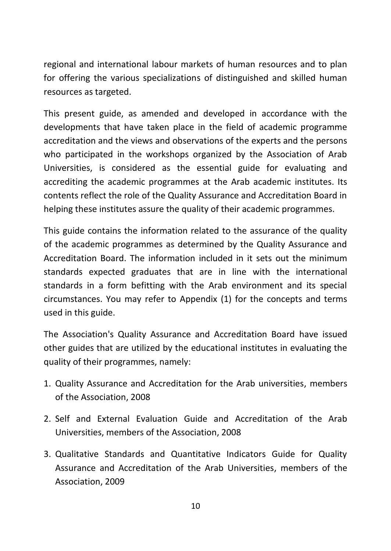regional and international labour markets of human resources and to plan for offering the various specializations of distinguished and skilled human resources as targeted.

This present guide, as amended and developed in accordance with the developments that have taken place in the field of academic programme accreditation and the views and observations of the experts and the persons who participated in the workshops organized by the Association of Arab Universities, is considered as the essential guide for evaluating and accrediting the academic programmes at the Arab academic institutes. Its contents reflect the role of the Quality Assurance and Accreditation Board in helping these institutes assure the quality of their academic programmes.

This guide contains the information related to the assurance of the quality of the academic programmes as determined by the Quality Assurance and Accreditation Board. The information included in it sets out the minimum standards expected graduates that are in line with the international standards in a form befitting with the Arab environment and its special circumstances. You may refer to Appendix (1) for the concepts and terms used in this guide.

The Association's Quality Assurance and Accreditation Board have issued other guides that are utilized by the educational institutes in evaluating the quality of their programmes, namely:

- 1. Quality Assurance and Accreditation for the Arab universities, members of the Association, 2008
- 2. Self and External Evaluation Guide and Accreditation of the Arab Universities, members of the Association, 2008
- 3. Qualitative Standards and Quantitative Indicators Guide for Quality Assurance and Accreditation of the Arab Universities, members of the Association, 2009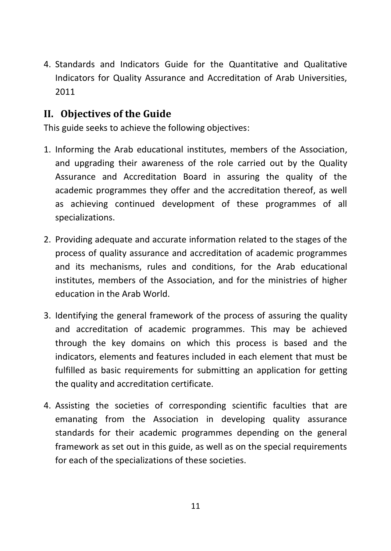4. Standards and Indicators Guide for the Quantitative and Qualitative Indicators for Quality Assurance and Accreditation of Arab Universities, 2011

#### <span id="page-10-0"></span>**II. Objectives of the Guide**

This guide seeks to achieve the following objectives:

- 1. Informing the Arab educational institutes, members of the Association, and upgrading their awareness of the role carried out by the Quality Assurance and Accreditation Board in assuring the quality of the academic programmes they offer and the accreditation thereof, as well as achieving continued development of these programmes of all specializations.
- 2. Providing adequate and accurate information related to the stages of the process of quality assurance and accreditation of academic programmes and its mechanisms, rules and conditions, for the Arab educational institutes, members of the Association, and for the ministries of higher education in the Arab World.
- 3. Identifying the general framework of the process of assuring the quality and accreditation of academic programmes. This may be achieved through the key domains on which this process is based and the indicators, elements and features included in each element that must be fulfilled as basic requirements for submitting an application for getting the quality and accreditation certificate.
- 4. Assisting the societies of corresponding scientific faculties that are emanating from the Association in developing quality assurance standards for their academic programmes depending on the general framework as set out in this guide, as well as on the special requirements for each of the specializations of these societies.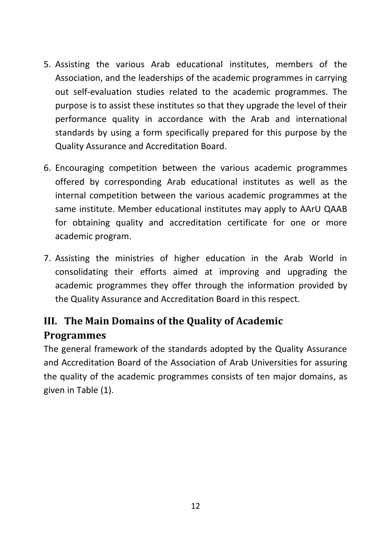- 5. Assisting the various Arab educational institutes, members of the Association, and the leaderships of the academic programmes in carrying out self-evaluation studies related to the academic programmes. The purpose is to assist these institutes so that they upgrade the level of their performance quality in accordance with the Arab and international standards by using a form specifically prepared for this purpose by the Quality Assurance and Accreditation Board.
- 6. Encouraging competition between the various academic programmes offered by corresponding Arab educational institutes as well as the internal competition between the various academic programmes at the same institute. Member educational institutes may apply to AArU QAAB for obtaining quality and accreditation certificate for one or more academic program.
- 7. Assisting the ministries of higher education in the Arab World in consolidating their efforts aimed at improving and upgrading the academic programmes they offer through the information provided by the Quality Assurance and Accreditation Board in this respect.

# <span id="page-11-0"></span>**III. The Main Domains of the Quality of Academic Programmes**

The general framework of the standards adopted by the Quality Assurance and Accreditation Board of the Association of Arab Universities for assuring the quality of the academic programmes consists of ten major domains, as given in Table (1).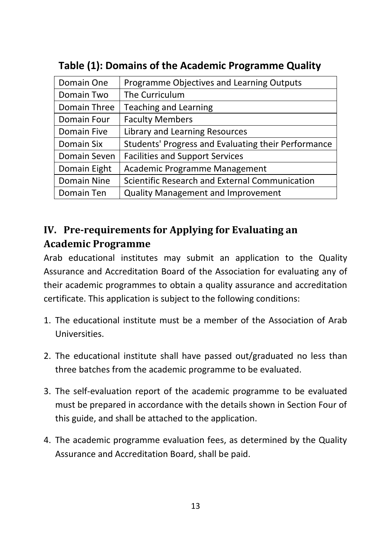| Domain One   | Programme Objectives and Learning Outputs           |
|--------------|-----------------------------------------------------|
| Domain Two   | The Curriculum                                      |
| Domain Three | <b>Teaching and Learning</b>                        |
| Domain Four  | <b>Faculty Members</b>                              |
| Domain Five  | Library and Learning Resources                      |
| Domain Six   | Students' Progress and Evaluating their Performance |
| Domain Seven | <b>Facilities and Support Services</b>              |
| Domain Eight | Academic Programme Management                       |
| Domain Nine  | Scientific Research and External Communication      |
| Domain Ten   | <b>Quality Management and Improvement</b>           |

**Table (1): Domains of the Academic Programme Quality**

## <span id="page-12-0"></span>**IV. Pre-requirements for Applying for Evaluating an Academic Programme**

Arab educational institutes may submit an application to the Quality Assurance and Accreditation Board of the Association for evaluating any of their academic programmes to obtain a quality assurance and accreditation certificate. This application is subject to the following conditions:

- 1. The educational institute must be a member of the Association of Arab Universities.
- 2. The educational institute shall have passed out/graduated no less than three batches from the academic programme to be evaluated.
- 3. The self-evaluation report of the academic programme to be evaluated must be prepared in accordance with the details shown in Section Four of this guide, and shall be attached to the application.
- 4. The academic programme evaluation fees, as determined by the Quality Assurance and Accreditation Board, shall be paid.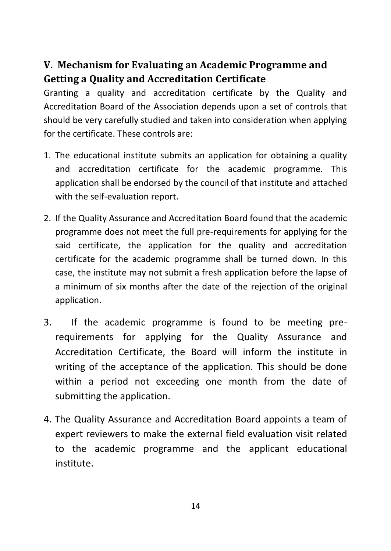## <span id="page-13-0"></span>**V. Mechanism for Evaluating an Academic Programme and Getting a Quality and Accreditation Certificate**

Granting a quality and accreditation certificate by the Quality and Accreditation Board of the Association depends upon a set of controls that should be very carefully studied and taken into consideration when applying for the certificate. These controls are:

- 1. The educational institute submits an application for obtaining a quality and accreditation certificate for the academic programme. This application shall be endorsed by the council of that institute and attached with the self-evaluation report.
- 2. If the Quality Assurance and Accreditation Board found that the academic programme does not meet the full pre-requirements for applying for the said certificate, the application for the quality and accreditation certificate for the academic programme shall be turned down. In this case, the institute may not submit a fresh application before the lapse of a minimum of six months after the date of the rejection of the original application.
- 3. If the academic programme is found to be meeting prerequirements for applying for the Quality Assurance and Accreditation Certificate, the Board will inform the institute in writing of the acceptance of the application. This should be done within a period not exceeding one month from the date of submitting the application.
- 4. The Quality Assurance and Accreditation Board appoints a team of expert reviewers to make the external field evaluation visit related to the academic programme and the applicant educational institute.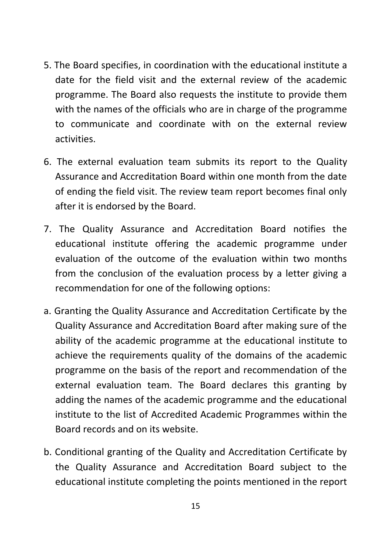- 5. The Board specifies, in coordination with the educational institute a date for the field visit and the external review of the academic programme. The Board also requests the institute to provide them with the names of the officials who are in charge of the programme to communicate and coordinate with on the external review activities.
- 6. The external evaluation team submits its report to the Quality Assurance and Accreditation Board within one month from the date of ending the field visit. The review team report becomes final only after it is endorsed by the Board.
- 7. The Quality Assurance and Accreditation Board notifies the educational institute offering the academic programme under evaluation of the outcome of the evaluation within two months from the conclusion of the evaluation process by a letter giving a recommendation for one of the following options:
- a. Granting the Quality Assurance and Accreditation Certificate by the Quality Assurance and Accreditation Board after making sure of the ability of the academic programme at the educational institute to achieve the requirements quality of the domains of the academic programme on the basis of the report and recommendation of the external evaluation team. The Board declares this granting by adding the names of the academic programme and the educational institute to the list of Accredited Academic Programmes within the Board records and on its website.
- b. Conditional granting of the Quality and Accreditation Certificate by the Quality Assurance and Accreditation Board subject to the educational institute completing the points mentioned in the report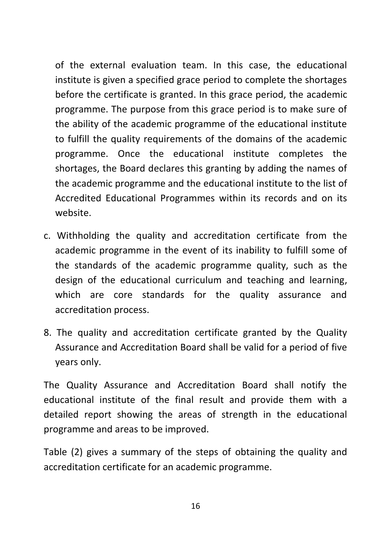of the external evaluation team. In this case, the educational institute is given a specified grace period to complete the shortages before the certificate is granted. In this grace period, the academic programme. The purpose from this grace period is to make sure of the ability of the academic programme of the educational institute to fulfill the quality requirements of the domains of the academic programme. Once the educational institute completes the shortages, the Board declares this granting by adding the names of the academic programme and the educational institute to the list of Accredited Educational Programmes within its records and on its website.

- c. Withholding the quality and accreditation certificate from the academic programme in the event of its inability to fulfill some of the standards of the academic programme quality, such as the design of the educational curriculum and teaching and learning, which are core standards for the quality assurance and accreditation process.
- 8. The quality and accreditation certificate granted by the Quality Assurance and Accreditation Board shall be valid for a period of five years only.

The Quality Assurance and Accreditation Board shall notify the educational institute of the final result and provide them with a detailed report showing the areas of strength in the educational programme and areas to be improved.

Table (2) gives a summary of the steps of obtaining the quality and accreditation certificate for an academic programme.

16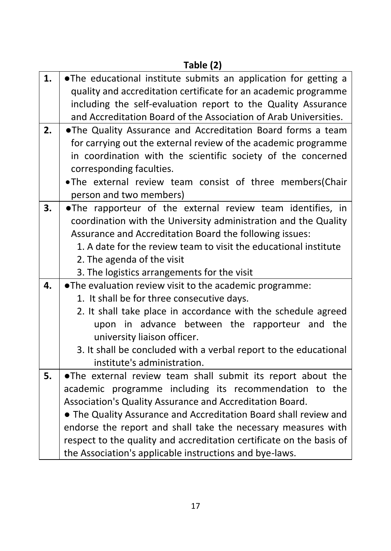|    | Table (2)                                                                                                                                                                                           |
|----|-----------------------------------------------------------------------------------------------------------------------------------------------------------------------------------------------------|
| 1. | .The educational institute submits an application for getting a<br>quality and accreditation certificate for an academic programme<br>including the self-evaluation report to the Quality Assurance |
|    | and Accreditation Board of the Association of Arab Universities.                                                                                                                                    |
| 2. | .The Quality Assurance and Accreditation Board forms a team                                                                                                                                         |
|    | for carrying out the external review of the academic programme                                                                                                                                      |
|    | in coordination with the scientific society of the concerned                                                                                                                                        |
|    | corresponding faculties.                                                                                                                                                                            |
|    | .The external review team consist of three members(Chair                                                                                                                                            |
|    | person and two members)                                                                                                                                                                             |
| 3. | .The rapporteur of the external review team identifies, in                                                                                                                                          |
|    | coordination with the University administration and the Quality                                                                                                                                     |
|    | Assurance and Accreditation Board the following issues:                                                                                                                                             |
|    | 1. A date for the review team to visit the educational institute                                                                                                                                    |
|    | 2. The agenda of the visit                                                                                                                                                                          |
|    | 3. The logistics arrangements for the visit                                                                                                                                                         |
| 4. | .The evaluation review visit to the academic programme:                                                                                                                                             |
|    | 1. It shall be for three consecutive days.                                                                                                                                                          |
|    | 2. It shall take place in accordance with the schedule agreed                                                                                                                                       |
|    | upon in advance between the rapporteur and the                                                                                                                                                      |
|    | university liaison officer.                                                                                                                                                                         |
|    | 3. It shall be concluded with a verbal report to the educational                                                                                                                                    |
|    | institute's administration.                                                                                                                                                                         |
| 5. | .The external review team shall submit its report about the                                                                                                                                         |
|    | academic programme including its recommendation to the                                                                                                                                              |
|    | Association's Quality Assurance and Accreditation Board.                                                                                                                                            |
|    | • The Quality Assurance and Accreditation Board shall review and                                                                                                                                    |
|    | endorse the report and shall take the necessary measures with                                                                                                                                       |
|    | respect to the quality and accreditation certificate on the basis of                                                                                                                                |
|    | the Association's applicable instructions and bye-laws.                                                                                                                                             |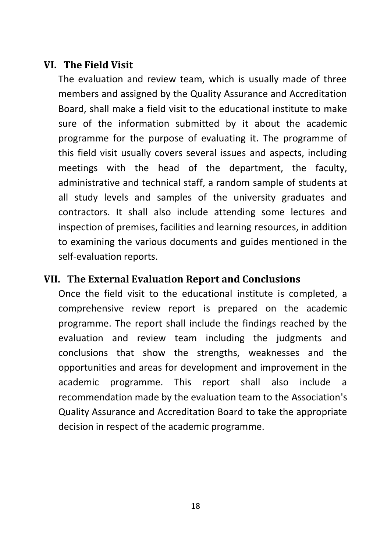#### <span id="page-17-0"></span>**VI. The Field Visit**

The evaluation and review team, which is usually made of three members and assigned by the Quality Assurance and Accreditation Board, shall make a field visit to the educational institute to make sure of the information submitted by it about the academic programme for the purpose of evaluating it. The programme of this field visit usually covers several issues and aspects, including meetings with the head of the department, the faculty, administrative and technical staff, a random sample of students at all study levels and samples of the university graduates and contractors. It shall also include attending some lectures and inspection of premises, facilities and learning resources, in addition to examining the various documents and guides mentioned in the self-evaluation reports.

#### <span id="page-17-1"></span>**VII. The External Evaluation Report and Conclusions**

Once the field visit to the educational institute is completed, a comprehensive review report is prepared on the academic programme. The report shall include the findings reached by the evaluation and review team including the judgments and conclusions that show the strengths, weaknesses and the opportunities and areas for development and improvement in the academic programme. This report shall also include a recommendation made by the evaluation team to the Association's Quality Assurance and Accreditation Board to take the appropriate decision in respect of the academic programme.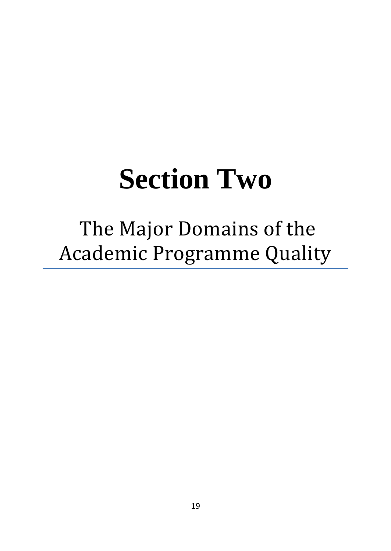# **Section Two**

# <span id="page-18-0"></span>The Major Domains of the Academic Programme Quality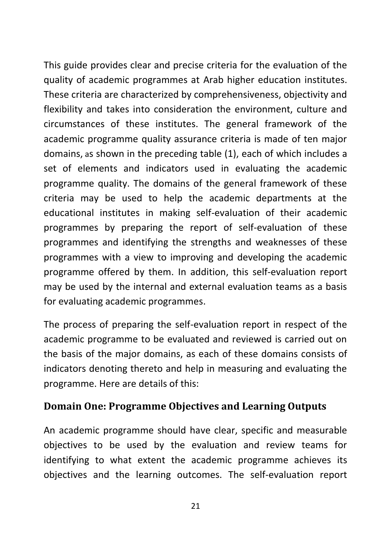This guide provides clear and precise criteria for the evaluation of the quality of academic programmes at Arab higher education institutes. These criteria are characterized by comprehensiveness, objectivity and flexibility and takes into consideration the environment, culture and circumstances of these institutes. The general framework of the academic programme quality assurance criteria is made of ten major domains, as shown in the preceding table (1), each of which includes a set of elements and indicators used in evaluating the academic programme quality. The domains of the general framework of these criteria may be used to help the academic departments at the educational institutes in making self-evaluation of their academic programmes by preparing the report of self-evaluation of these programmes and identifying the strengths and weaknesses of these programmes with a view to improving and developing the academic programme offered by them. In addition, this self-evaluation report may be used by the internal and external evaluation teams as a basis for evaluating academic programmes.

The process of preparing the self-evaluation report in respect of the academic programme to be evaluated and reviewed is carried out on the basis of the major domains, as each of these domains consists of indicators denoting thereto and help in measuring and evaluating the programme. Here are details of this:

#### <span id="page-20-0"></span>**Domain One: Programme Objectives and Learning Outputs**

An academic programme should have clear, specific and measurable objectives to be used by the evaluation and review teams for identifying to what extent the academic programme achieves its objectives and the learning outcomes. The self-evaluation report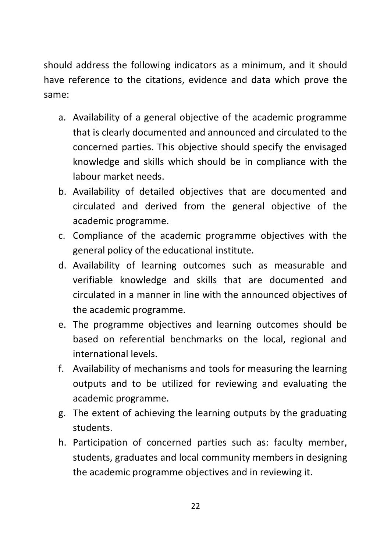should address the following indicators as a minimum, and it should have reference to the citations, evidence and data which prove the same:

- a. Availability of a general objective of the academic programme that is clearly documented and announced and circulated to the concerned parties. This objective should specify the envisaged knowledge and skills which should be in compliance with the labour market needs.
- b. Availability of detailed objectives that are documented and circulated and derived from the general objective of the academic programme.
- c. Compliance of the academic programme objectives with the general policy of the educational institute.
- d. Availability of learning outcomes such as measurable and verifiable knowledge and skills that are documented and circulated in a manner in line with the announced objectives of the academic programme.
- e. The programme objectives and learning outcomes should be based on referential benchmarks on the local, regional and international levels.
- f. Availability of mechanisms and tools for measuring the learning outputs and to be utilized for reviewing and evaluating the academic programme.
- g. The extent of achieving the learning outputs by the graduating students.
- h. Participation of concerned parties such as: faculty member, students, graduates and local community members in designing the academic programme objectives and in reviewing it.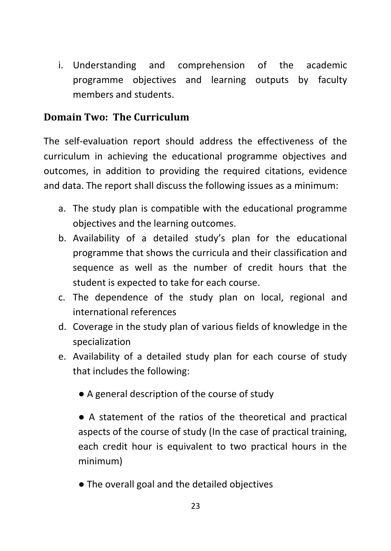i. Understanding and comprehension of the academic programme objectives and learning outputs by faculty members and students.

#### <span id="page-22-0"></span>**Domain Two: The Curriculum**

The self-evaluation report should address the effectiveness of the curriculum in achieving the educational programme objectives and outcomes, in addition to providing the required citations, evidence and data. The report shall discuss the following issues as a minimum:

- a. The study plan is compatible with the educational programme objectives and the learning outcomes.
- b. Availability of a detailed study's plan for the educational programme that shows the curricula and their classification and sequence as well as the number of credit hours that the student is expected to take for each course.
- c. The dependence of the study plan on local, regional and international references
- d. Coverage in the study plan of various fields of knowledge in the specialization
- e. Availability of a detailed study plan for each course of study that includes the following:
	- A general description of the course of study
	- A statement of the ratios of the theoretical and practical aspects of the course of study (In the case of practical training, each credit hour is equivalent to two practical hours in the minimum)
	- The overall goal and the detailed objectives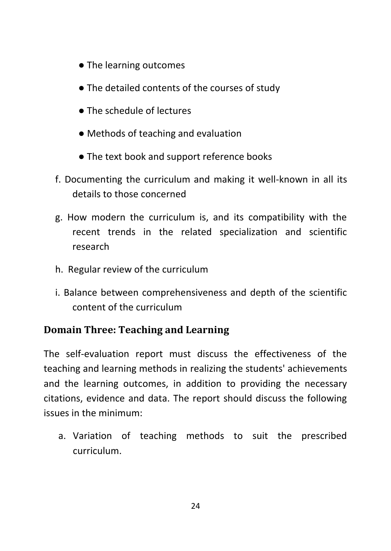- The learning outcomes
- The detailed contents of the courses of study
- The schedule of lectures
- Methods of teaching and evaluation
- The text book and support reference books
- f. Documenting the curriculum and making it well-known in all its details to those concerned
- g. How modern the curriculum is, and its compatibility with the recent trends in the related specialization and scientific research
- h. Regular review of the curriculum
- i. Balance between comprehensiveness and depth of the scientific content of the curriculum

### <span id="page-23-0"></span>**Domain Three: Teaching and Learning**

The self-evaluation report must discuss the effectiveness of the teaching and learning methods in realizing the students' achievements and the learning outcomes, in addition to providing the necessary citations, evidence and data. The report should discuss the following issues in the minimum:

a. Variation of teaching methods to suit the prescribed curriculum.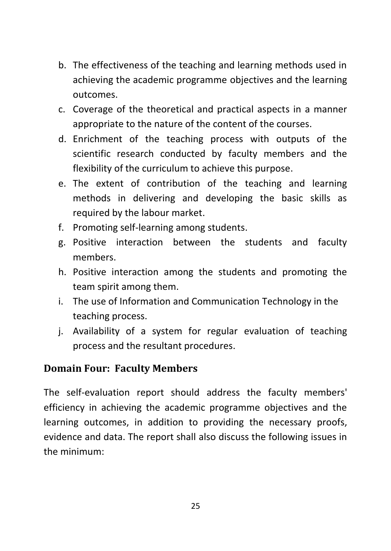- b. The effectiveness of the teaching and learning methods used in achieving the academic programme objectives and the learning outcomes.
- c. Coverage of the theoretical and practical aspects in a manner appropriate to the nature of the content of the courses.
- d. Enrichment of the teaching process with outputs of the scientific research conducted by faculty members and the flexibility of the curriculum to achieve this purpose.
- e. The extent of contribution of the teaching and learning methods in delivering and developing the basic skills as required by the labour market.
- f. Promoting self-learning among students.
- g. Positive interaction between the students and faculty members.
- h. Positive interaction among the students and promoting the team spirit among them.
- i. The use of Information and Communication Technology in the teaching process.
- j. Availability of a system for regular evaluation of teaching process and the resultant procedures.

#### <span id="page-24-0"></span>**Domain Four: Faculty Members**

The self-evaluation report should address the faculty members' efficiency in achieving the academic programme objectives and the learning outcomes, in addition to providing the necessary proofs, evidence and data. The report shall also discuss the following issues in the minimum: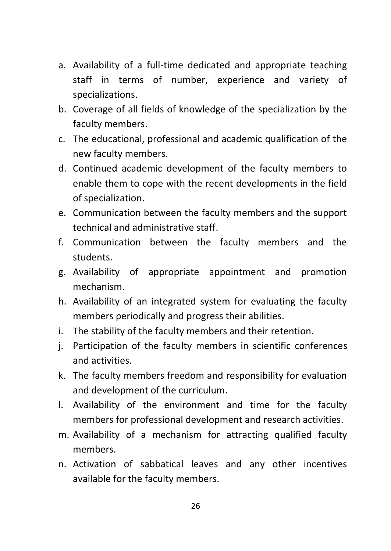- a. Availability of a full-time dedicated and appropriate teaching staff in terms of number, experience and variety of specializations.
- b. Coverage of all fields of knowledge of the specialization by the faculty members.
- c. The educational, professional and academic qualification of the new faculty members.
- d. Continued academic development of the faculty members to enable them to cope with the recent developments in the field of specialization.
- e. Communication between the faculty members and the support technical and administrative staff.
- f. Communication between the faculty members and the students.
- g. Availability of appropriate appointment and promotion mechanism.
- h. Availability of an integrated system for evaluating the faculty members periodically and progress their abilities.
- i. The stability of the faculty members and their retention.
- j. Participation of the faculty members in scientific conferences and activities.
- k. The faculty members freedom and responsibility for evaluation and development of the curriculum.
- l. Availability of the environment and time for the faculty members for professional development and research activities.
- m. Availability of a mechanism for attracting qualified faculty members.
- n. Activation of sabbatical leaves and any other incentives available for the faculty members.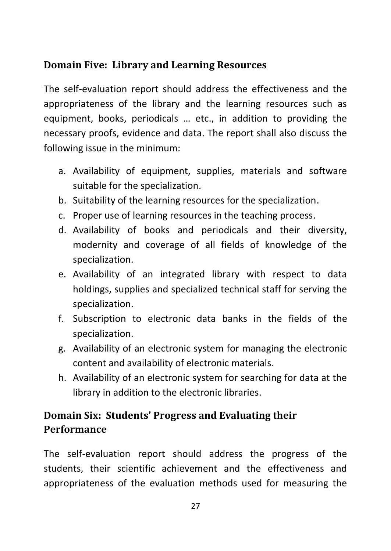### <span id="page-26-0"></span>**Domain Five: Library and Learning Resources**

The self-evaluation report should address the effectiveness and the appropriateness of the library and the learning resources such as equipment, books, periodicals … etc., in addition to providing the necessary proofs, evidence and data. The report shall also discuss the following issue in the minimum:

- a. Availability of equipment, supplies, materials and software suitable for the specialization.
- b. Suitability of the learning resources for the specialization.
- c. Proper use of learning resources in the teaching process.
- d. Availability of books and periodicals and their diversity, modernity and coverage of all fields of knowledge of the specialization.
- e. Availability of an integrated library with respect to data holdings, supplies and specialized technical staff for serving the specialization.
- f. Subscription to electronic data banks in the fields of the specialization.
- g. Availability of an electronic system for managing the electronic content and availability of electronic materials.
- h. Availability of an electronic system for searching for data at the library in addition to the electronic libraries.

## <span id="page-26-1"></span>**Domain Six: Students' Progress and Evaluating their Performance**

The self-evaluation report should address the progress of the students, their scientific achievement and the effectiveness and appropriateness of the evaluation methods used for measuring the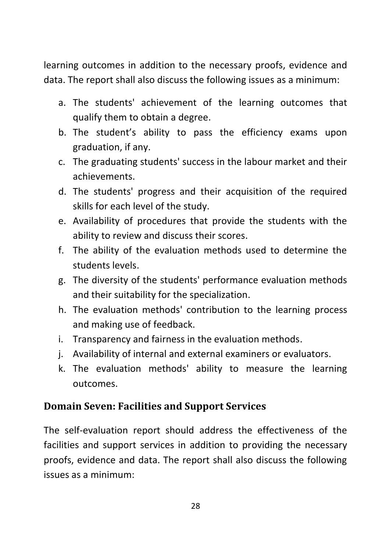learning outcomes in addition to the necessary proofs, evidence and data. The report shall also discuss the following issues as a minimum:

- a. The students' achievement of the learning outcomes that qualify them to obtain a degree.
- b. The student's ability to pass the efficiency exams upon graduation, if any.
- c. The graduating students' success in the labour market and their achievements.
- d. The students' progress and their acquisition of the required skills for each level of the study.
- e. Availability of procedures that provide the students with the ability to review and discuss their scores.
- f. The ability of the evaluation methods used to determine the students levels.
- g. The diversity of the students' performance evaluation methods and their suitability for the specialization.
- h. The evaluation methods' contribution to the learning process and making use of feedback.
- i. Transparency and fairness in the evaluation methods.
- j. Availability of internal and external examiners or evaluators.
- k. The evaluation methods' ability to measure the learning outcomes.

#### <span id="page-27-0"></span>**Domain Seven: Facilities and Support Services**

The self-evaluation report should address the effectiveness of the facilities and support services in addition to providing the necessary proofs, evidence and data. The report shall also discuss the following issues as a minimum: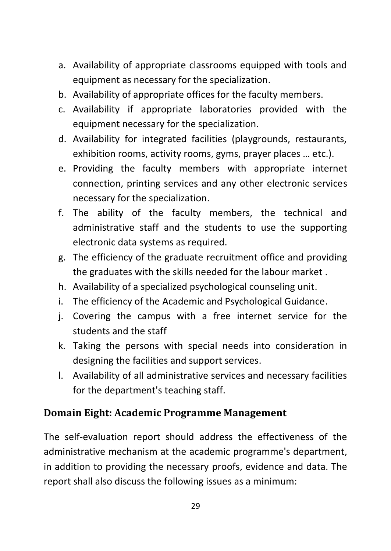- a. Availability of appropriate classrooms equipped with tools and equipment as necessary for the specialization.
- b. Availability of appropriate offices for the faculty members.
- c. Availability if appropriate laboratories provided with the equipment necessary for the specialization.
- d. Availability for integrated facilities (playgrounds, restaurants, exhibition rooms, activity rooms, gyms, prayer places … etc.).
- e. Providing the faculty members with appropriate internet connection, printing services and any other electronic services necessary for the specialization.
- f. The ability of the faculty members, the technical and administrative staff and the students to use the supporting electronic data systems as required.
- g. The efficiency of the graduate recruitment office and providing the graduates with the skills needed for the labour market .
- h. Availability of a specialized psychological counseling unit.
- i. The efficiency of the Academic and Psychological Guidance.
- j. Covering the campus with a free internet service for the students and the staff
- k. Taking the persons with special needs into consideration in designing the facilities and support services.
- l. Availability of all administrative services and necessary facilities for the department's teaching staff.

### <span id="page-28-0"></span>**Domain Eight: Academic Programme Management**

The self-evaluation report should address the effectiveness of the administrative mechanism at the academic programme's department, in addition to providing the necessary proofs, evidence and data. The report shall also discuss the following issues as a minimum: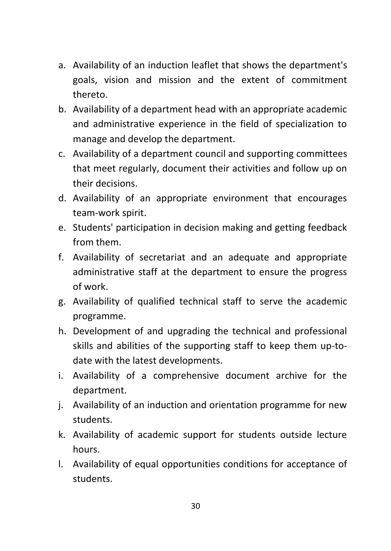- a. Availability of an induction leaflet that shows the department's goals, vision and mission and the extent of commitment thereto.
- b. Availability of a department head with an appropriate academic and administrative experience in the field of specialization to manage and develop the department.
- c. Availability of a department council and supporting committees that meet regularly, document their activities and follow up on their decisions.
- d. Availability of an appropriate environment that encourages team-work spirit.
- e. Students' participation in decision making and getting feedback from them.
- f. Availability of secretariat and an adequate and appropriate administrative staff at the department to ensure the progress of work.
- g. Availability of qualified technical staff to serve the academic programme.
- h. Development of and upgrading the technical and professional skills and abilities of the supporting staff to keep them up-todate with the latest developments.
- i. Availability of a comprehensive document archive for the department.
- j. Availability of an induction and orientation programme for new students.
- k. Availability of academic support for students outside lecture hours.
- l. Availability of equal opportunities conditions for acceptance of students.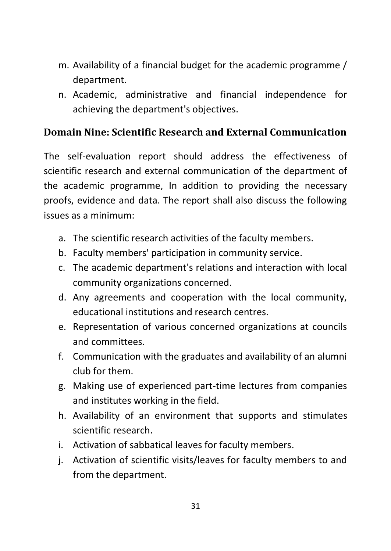- m. Availability of a financial budget for the academic programme / department.
- n. Academic, administrative and financial independence for achieving the department's objectives.

### <span id="page-30-0"></span>**Domain Nine: Scientific Research and External Communication**

The self-evaluation report should address the effectiveness of scientific research and external communication of the department of the academic programme, In addition to providing the necessary proofs, evidence and data. The report shall also discuss the following issues as a minimum:

- a. The scientific research activities of the faculty members.
- b. Faculty members' participation in community service.
- c. The academic department's relations and interaction with local community organizations concerned.
- d. Any agreements and cooperation with the local community, educational institutions and research centres.
- e. Representation of various concerned organizations at councils and committees.
- f. Communication with the graduates and availability of an alumni club for them.
- g. Making use of experienced part-time lectures from companies and institutes working in the field.
- h. Availability of an environment that supports and stimulates scientific research.
- i. Activation of sabbatical leaves for faculty members.
- j. Activation of scientific visits/leaves for faculty members to and from the department.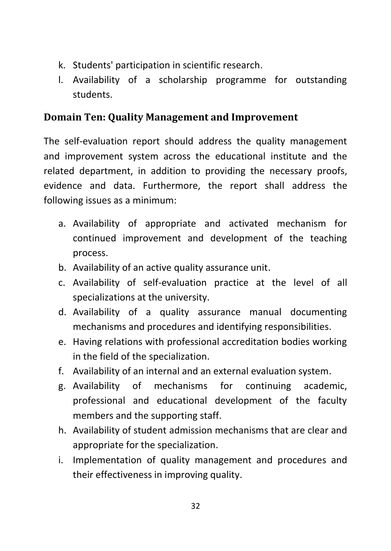- k. Students' participation in scientific research.
- l. Availability of a scholarship programme for outstanding students.

#### <span id="page-31-0"></span>**Domain Ten: Quality Management and Improvement**

The self-evaluation report should address the quality management and improvement system across the educational institute and the related department, in addition to providing the necessary proofs, evidence and data. Furthermore, the report shall address the following issues as a minimum:

- a. Availability of appropriate and activated mechanism for continued improvement and development of the teaching process.
- b. Availability of an active quality assurance unit.
- c. Availability of self-evaluation practice at the level of all specializations at the university.
- d. Availability of a quality assurance manual documenting mechanisms and procedures and identifying responsibilities.
- e. Having relations with professional accreditation bodies working in the field of the specialization.
- f. Availability of an internal and an external evaluation system.
- g. Availability of mechanisms for continuing academic, professional and educational development of the faculty members and the supporting staff.
- h. Availability of student admission mechanisms that are clear and appropriate for the specialization.
- i. Implementation of quality management and procedures and their effectiveness in improving quality.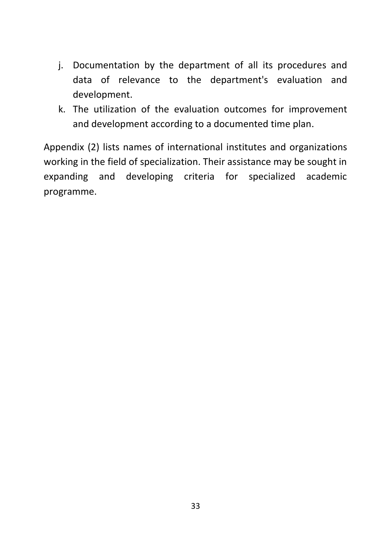- j. Documentation by the department of all its procedures and data of relevance to the department's evaluation and development.
- k. The utilization of the evaluation outcomes for improvement and development according to a documented time plan.

Appendix (2) lists names of international institutes and organizations working in the field of specialization. Their assistance may be sought in expanding and developing criteria for specialized academic programme.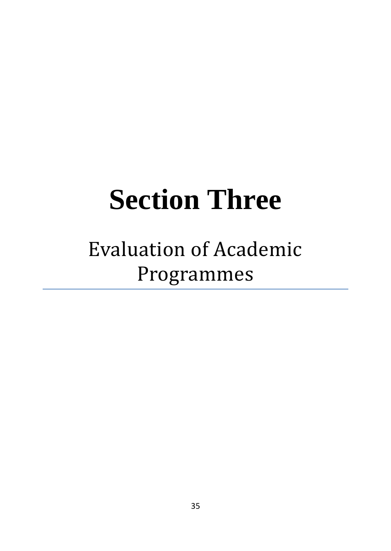# **Section Three**

# <span id="page-34-0"></span>Evaluation of Academic Programmes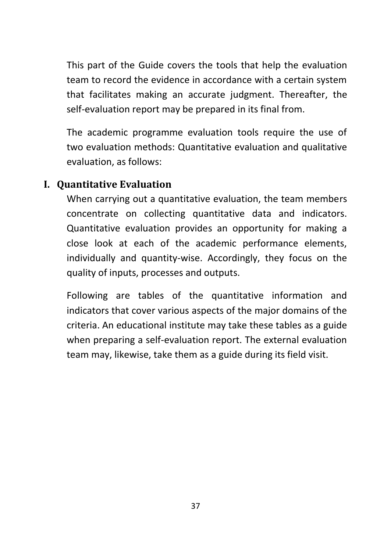This part of the Guide covers the tools that help the evaluation team to record the evidence in accordance with a certain system that facilitates making an accurate judgment. Thereafter, the self-evaluation report may be prepared in its final from.

The academic programme evaluation tools require the use of two evaluation methods: Quantitative evaluation and qualitative evaluation, as follows:

#### **I. Quantitative Evaluation**

When carrying out a quantitative evaluation, the team members concentrate on collecting quantitative data and indicators. Quantitative evaluation provides an opportunity for making a close look at each of the academic performance elements, individually and quantity-wise. Accordingly, they focus on the quality of inputs, processes and outputs.

Following are tables of the quantitative information and indicators that cover various aspects of the major domains of the criteria. An educational institute may take these tables as a guide when preparing a self-evaluation report. The external evaluation team may, likewise, take them as a guide during its field visit.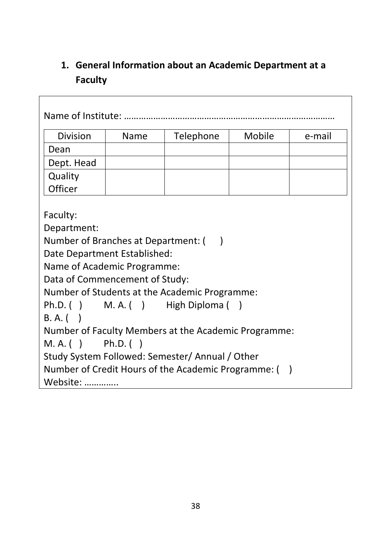# **1. General Information about an Academic Department at a Faculty**

Name of Institute: …………………………………………………………………………… Faculty: Department: Number of Branches at Department: () Date Department Established: Name of Academic Programme: Data of Commencement of Study: Number of Students at the Academic Programme: Ph.D. ( ) M. A. ( ) High Diploma ( ) B. A. ( ) Number of Faculty Members at the Academic Programme: M. A. ( ) Ph.D. ( ) Study System Followed: Semester/ Annual / Other Number of Credit Hours of the Academic Programme: ( ) Website: ………….. Division | Name | Telephone | Mobile | e-mail Dean Dept. Head **Quality Officer**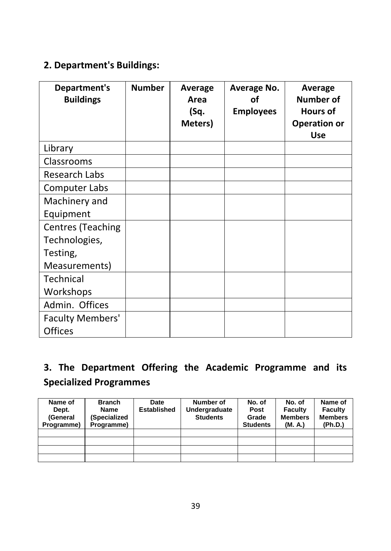# **2. Department's Buildings:**

| Department's<br><b>Buildings</b> | <b>Number</b> | Average<br>Area<br>(Sq.<br>Meters) | Average No.<br>οf<br><b>Employees</b> | Average<br><b>Number of</b><br><b>Hours of</b><br><b>Operation or</b><br><b>Use</b> |
|----------------------------------|---------------|------------------------------------|---------------------------------------|-------------------------------------------------------------------------------------|
| Library                          |               |                                    |                                       |                                                                                     |
| Classrooms                       |               |                                    |                                       |                                                                                     |
| <b>Research Labs</b>             |               |                                    |                                       |                                                                                     |
| <b>Computer Labs</b>             |               |                                    |                                       |                                                                                     |
| Machinery and                    |               |                                    |                                       |                                                                                     |
| Equipment                        |               |                                    |                                       |                                                                                     |
| <b>Centres (Teaching</b>         |               |                                    |                                       |                                                                                     |
| Technologies,                    |               |                                    |                                       |                                                                                     |
| Testing,                         |               |                                    |                                       |                                                                                     |
| Measurements)                    |               |                                    |                                       |                                                                                     |
| <b>Technical</b>                 |               |                                    |                                       |                                                                                     |
| Workshops                        |               |                                    |                                       |                                                                                     |
| Admin. Offices                   |               |                                    |                                       |                                                                                     |
| <b>Faculty Members'</b>          |               |                                    |                                       |                                                                                     |
| <b>Offices</b>                   |               |                                    |                                       |                                                                                     |

# **3. The Department Offering the Academic Programme and its Specialized Programmes**

| Name of<br>Dept.<br>(General<br>Programme) | <b>Branch</b><br>Name<br>(Specialized<br>Programme) | Date<br><b>Established</b> | Number of<br>Undergraduate<br><b>Students</b> | No. of<br>Post<br>Grade<br><b>Students</b> | No. of<br><b>Faculty</b><br><b>Members</b><br>(M. A.) | Name of<br>Faculty<br><b>Members</b><br>(Ph.D.) |
|--------------------------------------------|-----------------------------------------------------|----------------------------|-----------------------------------------------|--------------------------------------------|-------------------------------------------------------|-------------------------------------------------|
|                                            |                                                     |                            |                                               |                                            |                                                       |                                                 |
|                                            |                                                     |                            |                                               |                                            |                                                       |                                                 |
|                                            |                                                     |                            |                                               |                                            |                                                       |                                                 |
|                                            |                                                     |                            |                                               |                                            |                                                       |                                                 |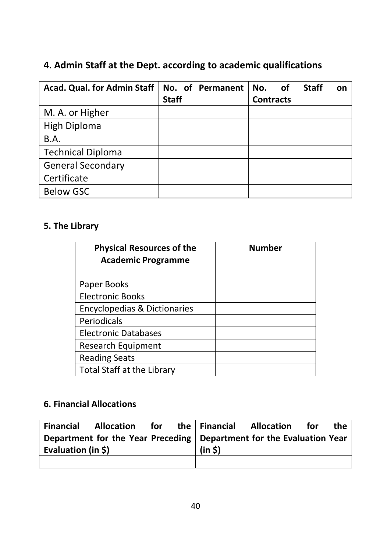# **4. Admin Staff at the Dept. according to academic qualifications**

| Acad. Qual. for Admin Staff |              | No. of Permanent | No.              | <b>of</b> | <b>Staff</b> | on |
|-----------------------------|--------------|------------------|------------------|-----------|--------------|----|
|                             | <b>Staff</b> |                  | <b>Contracts</b> |           |              |    |
| M. A. or Higher             |              |                  |                  |           |              |    |
| <b>High Diploma</b>         |              |                  |                  |           |              |    |
| <b>B.A.</b>                 |              |                  |                  |           |              |    |
| <b>Technical Diploma</b>    |              |                  |                  |           |              |    |
| <b>General Secondary</b>    |              |                  |                  |           |              |    |
| Certificate                 |              |                  |                  |           |              |    |
| <b>Below GSC</b>            |              |                  |                  |           |              |    |

# **5. The Library**

| <b>Physical Resources of the</b><br><b>Academic Programme</b> | <b>Number</b> |
|---------------------------------------------------------------|---------------|
| Paper Books                                                   |               |
| <b>Electronic Books</b>                                       |               |
| Encyclopedias & Dictionaries                                  |               |
| Periodicals                                                   |               |
| Electronic Databases                                          |               |
| Research Equipment                                            |               |
| <b>Reading Seats</b>                                          |               |
| Total Staff at the Library                                    |               |

#### **6. Financial Allocations**

| <b>Financial</b>   | <b>Allocation</b>                                                      | for |        | the Financial Allocation | for | the I |
|--------------------|------------------------------------------------------------------------|-----|--------|--------------------------|-----|-------|
|                    | Department for the Year Preceding   Department for the Evaluation Year |     |        |                          |     |       |
| Evaluation (in \$) |                                                                        |     | (in 5) |                          |     |       |
|                    |                                                                        |     |        |                          |     |       |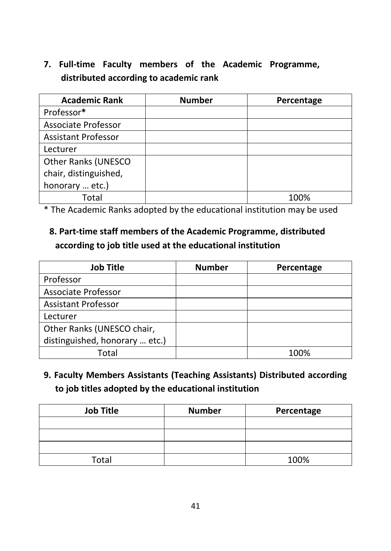# **7. Full-time Faculty members of the Academic Programme, distributed according to academic rank**

| <b>Academic Rank</b>       | <b>Number</b> | Percentage |
|----------------------------|---------------|------------|
| Professor*                 |               |            |
| <b>Associate Professor</b> |               |            |
| <b>Assistant Professor</b> |               |            |
| Lecturer                   |               |            |
| <b>Other Ranks (UNESCO</b> |               |            |
| chair, distinguished,      |               |            |
| honorary  etc.)            |               |            |
| Total                      |               | 100%       |

\* The Academic Ranks adopted by the educational institution may be used

# **8. Part-time staff members of the Academic Programme, distributed according to job title used at the educational institution**

| <b>Job Title</b>               | <b>Number</b> | Percentage |
|--------------------------------|---------------|------------|
| Professor                      |               |            |
| <b>Associate Professor</b>     |               |            |
| <b>Assistant Professor</b>     |               |            |
| Lecturer                       |               |            |
| Other Ranks (UNESCO chair,     |               |            |
| distinguished, honorary  etc.) |               |            |
| Total                          |               | 100%       |

#### **9. Faculty Members Assistants (Teaching Assistants) Distributed according to job titles adopted by the educational institution**

| <b>Job Title</b> | <b>Number</b> | Percentage |
|------------------|---------------|------------|
|                  |               |            |
|                  |               |            |
|                  |               |            |
| Total            |               | 100%       |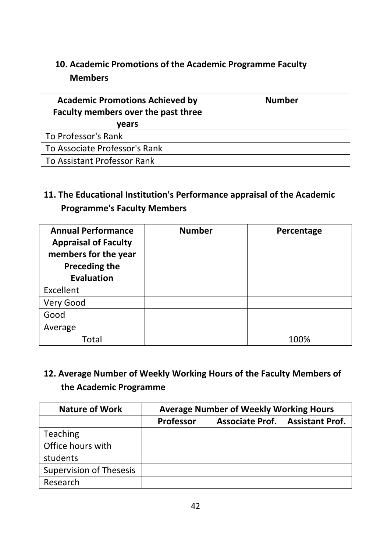# **10. Academic Promotions of the Academic Programme Faculty Members**

| <b>Academic Promotions Achieved by</b><br>Faculty members over the past three | <b>Number</b> |
|-------------------------------------------------------------------------------|---------------|
| vears                                                                         |               |
| To Professor's Rank                                                           |               |
| To Associate Professor's Rank                                                 |               |
| To Assistant Professor Rank                                                   |               |

# **11. The Educational Institution's Performance appraisal of the Academic Programme's Faculty Members**

| <b>Annual Performance</b><br><b>Appraisal of Faculty</b><br>members for the year<br><b>Preceding the</b><br><b>Evaluation</b> | <b>Number</b> | Percentage |
|-------------------------------------------------------------------------------------------------------------------------------|---------------|------------|
| Excellent                                                                                                                     |               |            |
| Very Good                                                                                                                     |               |            |
| Good                                                                                                                          |               |            |
| Average                                                                                                                       |               |            |
| Total                                                                                                                         |               | 100%       |

# **12. Average Number of Weekly Working Hours of the Faculty Members of the Academic Programme**

| <b>Nature of Work</b>          | <b>Average Number of Weekly Working Hours</b> |                                   |  |  |  |
|--------------------------------|-----------------------------------------------|-----------------------------------|--|--|--|
|                                | <b>Professor</b>                              | Associate Prof.   Assistant Prof. |  |  |  |
| Teaching                       |                                               |                                   |  |  |  |
| Office hours with              |                                               |                                   |  |  |  |
| students                       |                                               |                                   |  |  |  |
| <b>Supervision of Thesesis</b> |                                               |                                   |  |  |  |
| Research                       |                                               |                                   |  |  |  |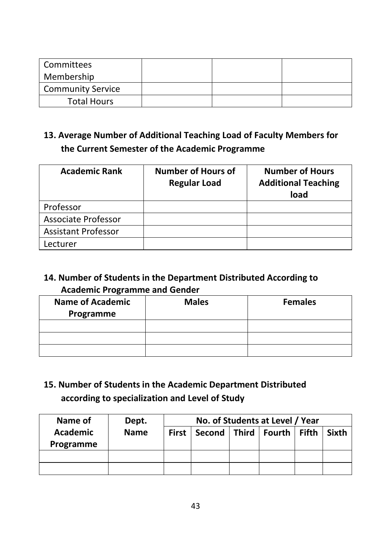| <b>Committees</b>        |  |  |
|--------------------------|--|--|
| Membership               |  |  |
| <b>Community Service</b> |  |  |
| <b>Total Hours</b>       |  |  |

# **13. Average Number of Additional Teaching Load of Faculty Members for the Current Semester of the Academic Programme**

| <b>Academic Rank</b>       | <b>Number of Hours of</b><br><b>Regular Load</b> | <b>Number of Hours</b><br><b>Additional Teaching</b><br>load |
|----------------------------|--------------------------------------------------|--------------------------------------------------------------|
| Professor                  |                                                  |                                                              |
| <b>Associate Professor</b> |                                                  |                                                              |
| <b>Assistant Professor</b> |                                                  |                                                              |
| Lecturer                   |                                                  |                                                              |

#### **14. Number of Students in the Department Distributed According to Academic Programme and Gender**

| <b>Name of Academic</b><br>Programme | <b>Males</b> | <b>Females</b> |
|--------------------------------------|--------------|----------------|
|                                      |              |                |
|                                      |              |                |
|                                      |              |                |

# **15. Number of Students in the Academic Department Distributed according to specialization and Level of Study**

| Name of         | Dept.       | No. of Students at Level / Year |                                 |  |  |  |              |
|-----------------|-------------|---------------------------------|---------------------------------|--|--|--|--------------|
| <b>Academic</b> | <b>Name</b> | <b>First</b>                    | Second   Third   Fourth   Fifth |  |  |  | <b>Sixth</b> |
| Programme       |             |                                 |                                 |  |  |  |              |
|                 |             |                                 |                                 |  |  |  |              |
|                 |             |                                 |                                 |  |  |  |              |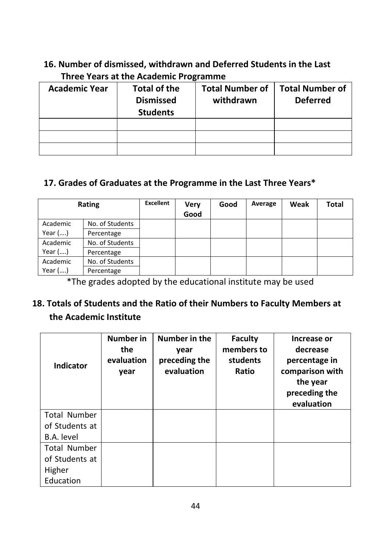#### **16. Number of dismissed, withdrawn and Deferred Students in the Last Three Years at the Academic Programme**

| <b>Academic Year</b> | <b>Total of the</b><br><b>Dismissed</b><br><b>Students</b> | <b>Total Number of</b><br>withdrawn | <b>Total Number of</b><br><b>Deferred</b> |
|----------------------|------------------------------------------------------------|-------------------------------------|-------------------------------------------|
|                      |                                                            |                                     |                                           |
|                      |                                                            |                                     |                                           |
|                      |                                                            |                                     |                                           |

#### **17. Grades of Graduates at the Programme in the Last Three Years\***

| Rating    |                 | Excellent | Very<br>Good | Good | Average | Weak | <b>Total</b> |
|-----------|-----------------|-----------|--------------|------|---------|------|--------------|
| Academic  | No. of Students |           |              |      |         |      |              |
| Year $()$ | Percentage      |           |              |      |         |      |              |
| Academic  | No. of Students |           |              |      |         |      |              |
| Year $()$ | Percentage      |           |              |      |         |      |              |
| Academic  | No. of Students |           |              |      |         |      |              |
| Year $()$ | Percentage      |           |              |      |         |      |              |

\*The grades adopted by the educational institute may be used

# **18. Totals of Students and the Ratio of their Numbers to Faculty Members at the Academic Institute**

| <b>Indicator</b>                                             | <b>Number in</b><br>the<br>evaluation<br>year | Number in the<br>year<br>preceding the<br>evaluation | <b>Faculty</b><br>members to<br>students<br>Ratio | Increase or<br>decrease<br>percentage in<br>comparison with<br>the year<br>preceding the<br>evaluation |
|--------------------------------------------------------------|-----------------------------------------------|------------------------------------------------------|---------------------------------------------------|--------------------------------------------------------------------------------------------------------|
| <b>Total Number</b><br>of Students at<br>B.A. level          |                                               |                                                      |                                                   |                                                                                                        |
| <b>Total Number</b><br>of Students at<br>Higher<br>Education |                                               |                                                      |                                                   |                                                                                                        |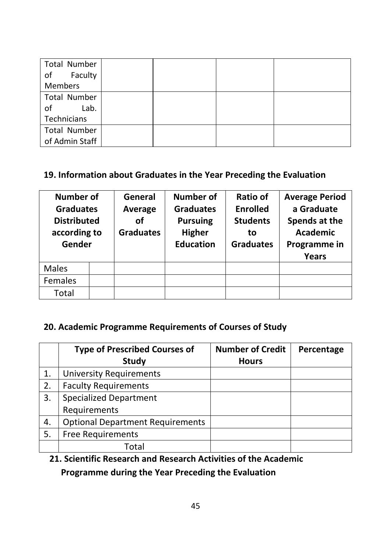| Total Number   |  |  |
|----------------|--|--|
| of Faculty     |  |  |
| Members        |  |  |
| Total Number   |  |  |
| Lab.<br>0f     |  |  |
| Technicians    |  |  |
| Total Number   |  |  |
| of Admin Staff |  |  |

#### **19. Information about Graduates in the Year Preceding the Evaluation**

| <b>Number of</b>   |  | General          | <b>Number of</b>    | <b>Ratio of</b>  | <b>Average Period</b> |
|--------------------|--|------------------|---------------------|------------------|-----------------------|
| <b>Graduates</b>   |  | Average          | <b>Graduates</b>    | <b>Enrolled</b>  | a Graduate            |
| <b>Distributed</b> |  | οf               |                     | <b>Students</b>  | Spends at the         |
| according to       |  | <b>Graduates</b> | <b>Higher</b><br>to |                  | <b>Academic</b>       |
| Gender             |  |                  | <b>Education</b>    | <b>Graduates</b> | Programme in          |
|                    |  |                  |                     |                  | Years                 |
| Males              |  |                  |                     |                  |                       |
| Females            |  |                  |                     |                  |                       |
| Total              |  |                  |                     |                  |                       |

#### **20. Academic Programme Requirements of Courses of Study**

|    | <b>Type of Prescribed Courses of</b>    | <b>Number of Credit</b> | Percentage |
|----|-----------------------------------------|-------------------------|------------|
|    | Study                                   | <b>Hours</b>            |            |
| 1. | <b>University Requirements</b>          |                         |            |
| 2. | <b>Faculty Requirements</b>             |                         |            |
| 3. | <b>Specialized Department</b>           |                         |            |
|    | Requirements                            |                         |            |
| 4. | <b>Optional Department Requirements</b> |                         |            |
| 5. | Free Requirements                       |                         |            |
|    | Total                                   |                         |            |

**21. Scientific Research and Research Activities of the Academic** 

**Programme during the Year Preceding the Evaluation**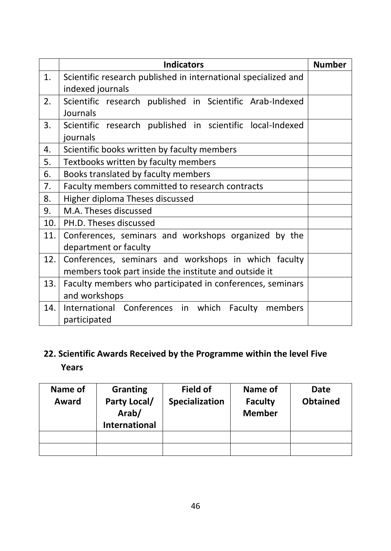|      | <b>Indicators</b>                                                                                             | <b>Number</b> |  |  |  |  |
|------|---------------------------------------------------------------------------------------------------------------|---------------|--|--|--|--|
| 1.   | Scientific research published in international specialized and<br>indexed journals                            |               |  |  |  |  |
| 2.   | Scientific research published in Scientific Arab-Indexed<br>Journals                                          |               |  |  |  |  |
| 3.   | Scientific research published in scientific local-Indexed<br>journals                                         |               |  |  |  |  |
| 4.   | Scientific books written by faculty members                                                                   |               |  |  |  |  |
| 5.   | Textbooks written by faculty members                                                                          |               |  |  |  |  |
| 6.   | Books translated by faculty members                                                                           |               |  |  |  |  |
| 7.   | Faculty members committed to research contracts                                                               |               |  |  |  |  |
| 8.   | Higher diploma Theses discussed                                                                               |               |  |  |  |  |
| 9.   | M.A. Theses discussed                                                                                         |               |  |  |  |  |
| 10.  | PH.D. Theses discussed                                                                                        |               |  |  |  |  |
| 11.  | Conferences, seminars and workshops organized by the<br>department or faculty                                 |               |  |  |  |  |
| 12.1 | Conferences, seminars and workshops in which faculty<br>members took part inside the institute and outside it |               |  |  |  |  |
| 13.  | Faculty members who participated in conferences, seminars<br>and workshops                                    |               |  |  |  |  |
| 14.  | International Conferences in which Faculty members<br>participated                                            |               |  |  |  |  |

# **22. Scientific Awards Received by the Programme within the level Five Years**

| Name of<br>Award | <b>Granting</b><br>Party Local/<br>Arab/<br><b>International</b> | <b>Field of</b><br>Specialization | Name of<br><b>Faculty</b><br><b>Member</b> | Date<br><b>Obtained</b> |
|------------------|------------------------------------------------------------------|-----------------------------------|--------------------------------------------|-------------------------|
|                  |                                                                  |                                   |                                            |                         |
|                  |                                                                  |                                   |                                            |                         |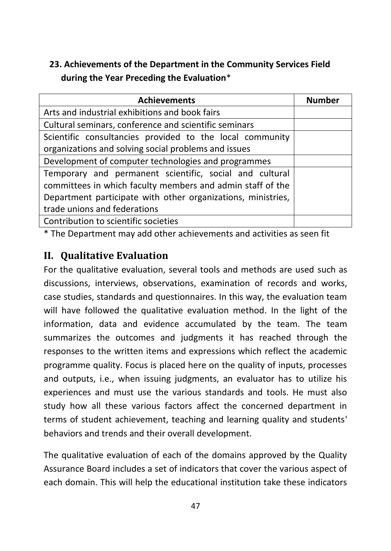# **23. Achievements of the Department in the Community Services Field during the Year Preceding the Evaluation**\*

| <b>Achievements</b>                                          | <b>Number</b> |
|--------------------------------------------------------------|---------------|
| Arts and industrial exhibitions and book fairs               |               |
| Cultural seminars, conference and scientific seminars        |               |
| Scientific consultancies provided to the local community     |               |
| organizations and solving social problems and issues         |               |
| Development of computer technologies and programmes          |               |
| Temporary and permanent scientific, social and cultural      |               |
| committees in which faculty members and admin staff of the   |               |
| Department participate with other organizations, ministries, |               |
| trade unions and federations                                 |               |
| Contribution to scientific societies                         |               |

\* The Department may add other achievements and activities as seen fit

# **II. Qualitative Evaluation**

For the qualitative evaluation, several tools and methods are used such as discussions, interviews, observations, examination of records and works, case studies, standards and questionnaires. In this way, the evaluation team will have followed the qualitative evaluation method. In the light of the information, data and evidence accumulated by the team. The team summarizes the outcomes and judgments it has reached through the responses to the written items and expressions which reflect the academic programme quality. Focus is placed here on the quality of inputs, processes and outputs, i.e., when issuing judgments, an evaluator has to utilize his experiences and must use the various standards and tools. He must also study how all these various factors affect the concerned department in terms of student achievement, teaching and learning quality and students' behaviors and trends and their overall development.

The qualitative evaluation of each of the domains approved by the Quality Assurance Board includes a set of indicators that cover the various aspect of each domain. This will help the educational institution take these indicators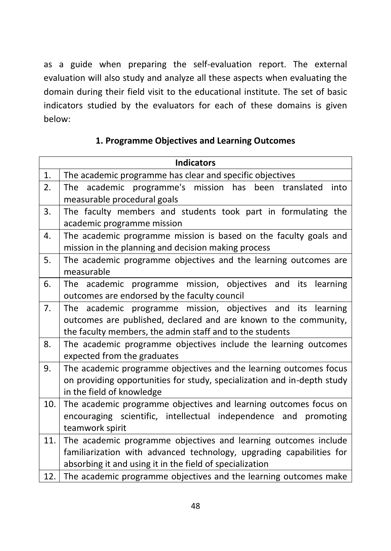as a guide when preparing the self-evaluation report. The external evaluation will also study and analyze all these aspects when evaluating the domain during their field visit to the educational institute. The set of basic indicators studied by the evaluators for each of these domains is given below:

#### **1. Programme Objectives and Learning Outcomes**

|     | <b>Indicators</b>                                                                             |
|-----|-----------------------------------------------------------------------------------------------|
| 1.  | The academic programme has clear and specific objectives                                      |
| 2.  | The academic programme's mission has<br>been translated<br>into                               |
|     | measurable procedural goals                                                                   |
| 3.  | The faculty members and students took part in formulating the                                 |
|     | academic programme mission                                                                    |
| 4.  | The academic programme mission is based on the faculty goals and                              |
|     | mission in the planning and decision making process                                           |
| 5.  | The academic programme objectives and the learning outcomes are                               |
|     | measurable                                                                                    |
| 6.  | The academic programme mission, objectives and its learning                                   |
|     | outcomes are endorsed by the faculty council                                                  |
| 7.  | The academic programme mission, objectives and<br>its learning                                |
|     | outcomes are published, declared and are known to the community,                              |
|     | the faculty members, the admin staff and to the students                                      |
| 8.  | The academic programme objectives include the learning outcomes                               |
|     | expected from the graduates                                                                   |
| 9.  | The academic programme objectives and the learning outcomes focus                             |
|     | on providing opportunities for study, specialization and in-depth study                       |
| 10. | in the field of knowledge<br>The academic programme objectives and learning outcomes focus on |
|     | encouraging scientific, intellectual independence and promoting                               |
|     | teamwork spirit                                                                               |
| 11. | The academic programme objectives and learning outcomes include                               |
|     | familiarization with advanced technology, upgrading capabilities for                          |
|     | absorbing it and using it in the field of specialization                                      |
| 12. | The academic programme objectives and the learning outcomes make                              |
|     |                                                                                               |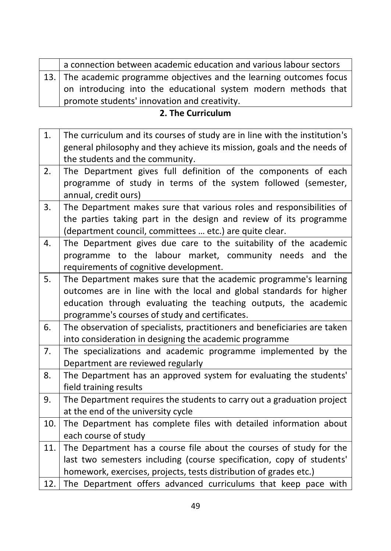| a connection between academic education and various labour sectors    |
|-----------------------------------------------------------------------|
| 13. The academic programme objectives and the learning outcomes focus |
| on introducing into the educational system modern methods that        |
| promote students' innovation and creativity.                          |

#### **2. The Curriculum**

| 1.  | The curriculum and its courses of study are in line with the institution's |
|-----|----------------------------------------------------------------------------|
|     | general philosophy and they achieve its mission, goals and the needs of    |
|     | the students and the community.                                            |
| 2.  | The Department gives full definition of the components of each             |
|     | programme of study in terms of the system followed (semester,              |
|     | annual, credit ours)                                                       |
| 3.  | The Department makes sure that various roles and responsibilities of       |
|     | the parties taking part in the design and review of its programme          |
|     | (department council, committees  etc.) are quite clear.                    |
| 4.  | The Department gives due care to the suitability of the academic           |
|     | programme to the labour market, community needs and<br>the                 |
|     | requirements of cognitive development.                                     |
| 5.  | The Department makes sure that the academic programme's learning           |
|     | outcomes are in line with the local and global standards for higher        |
|     | education through evaluating the teaching outputs, the academic            |
|     | programme's courses of study and certificates.                             |
| 6.  | The observation of specialists, practitioners and beneficiaries are taken  |
|     | into consideration in designing the academic programme                     |
| 7.  | The specializations and academic programme implemented by the              |
|     | Department are reviewed regularly                                          |
| 8.  | The Department has an approved system for evaluating the students'         |
|     | field training results                                                     |
| 9.  | The Department requires the students to carry out a graduation project     |
|     | at the end of the university cycle                                         |
| 10. | The Department has complete files with detailed information about          |
|     | each course of study                                                       |
| 11. | The Department has a course file about the courses of study for the        |
|     | last two semesters including (course specification, copy of students'      |
|     | homework, exercises, projects, tests distribution of grades etc.)          |
| 12. | The Department offers advanced curriculums that keep pace with             |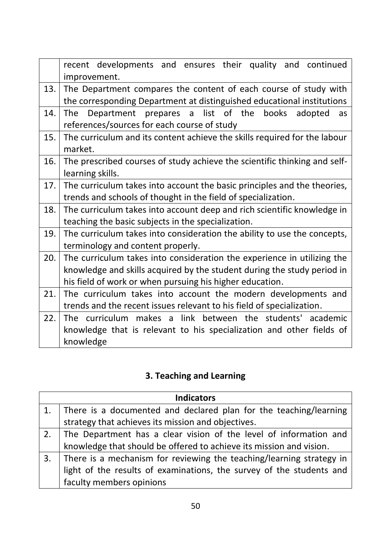|     | recent developments and ensures their quality and continued               |
|-----|---------------------------------------------------------------------------|
|     | improvement.                                                              |
| 13. | The Department compares the content of each course of study with          |
|     | the corresponding Department at distinguished educational institutions    |
| 14. | Department prepares a list of the<br>books adopted<br>The<br><b>as</b>    |
|     | references/sources for each course of study                               |
| 15. | The curriculum and its content achieve the skills required for the labour |
|     | market.                                                                   |
| 16. | The prescribed courses of study achieve the scientific thinking and self- |
|     | learning skills.                                                          |
| 17. | The curriculum takes into account the basic principles and the theories,  |
|     | trends and schools of thought in the field of specialization.             |
| 18. | The curriculum takes into account deep and rich scientific knowledge in   |
|     | teaching the basic subjects in the specialization.                        |
| 19. | The curriculum takes into consideration the ability to use the concepts,  |
|     | terminology and content properly.                                         |
| 20. | The curriculum takes into consideration the experience in utilizing the   |
|     | knowledge and skills acquired by the student during the study period in   |
|     | his field of work or when pursuing his higher education.                  |
| 21. | The curriculum takes into account the modern developments and             |
|     | trends and the recent issues relevant to his field of specialization.     |
| 22. | The curriculum makes a link between the students' academic                |
|     | knowledge that is relevant to his specialization and other fields of      |
|     | knowledge                                                                 |

# **3. Teaching and Learning**

| <b>Indicators</b> |                                                                      |
|-------------------|----------------------------------------------------------------------|
|                   | There is a documented and declared plan for the teaching/learning    |
|                   | strategy that achieves its mission and objectives.                   |
|                   | The Department has a clear vision of the level of information and    |
|                   | knowledge that should be offered to achieve its mission and vision.  |
| 3.                | There is a mechanism for reviewing the teaching/learning strategy in |
|                   | light of the results of examinations, the survey of the students and |
|                   | faculty members opinions                                             |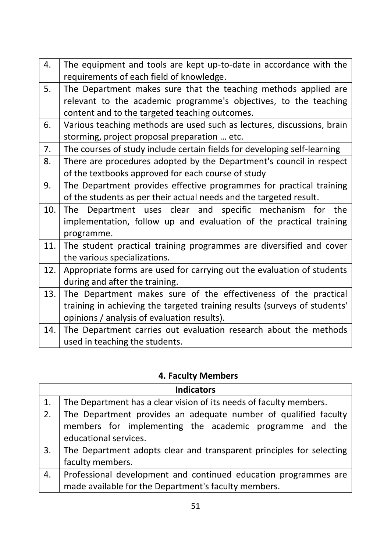| 4.  | The equipment and tools are kept up-to-date in accordance with the        |
|-----|---------------------------------------------------------------------------|
|     | requirements of each field of knowledge.                                  |
| 5.  | The Department makes sure that the teaching methods applied are           |
|     | relevant to the academic programme's objectives, to the teaching          |
|     | content and to the targeted teaching outcomes.                            |
| 6.  | Various teaching methods are used such as lectures, discussions, brain    |
|     | storming, project proposal preparation  etc.                              |
| 7.  | The courses of study include certain fields for developing self-learning  |
| 8.  | There are procedures adopted by the Department's council in respect       |
|     | of the textbooks approved for each course of study                        |
| 9.  | The Department provides effective programmes for practical training       |
|     | of the students as per their actual needs and the targeted result.        |
| 10. | Department uses clear and specific mechanism for the<br>The .             |
|     | implementation, follow up and evaluation of the practical training        |
|     | programme.                                                                |
| 11. | The student practical training programmes are diversified and cover       |
|     | the various specializations.                                              |
| 12. | Appropriate forms are used for carrying out the evaluation of students    |
|     | during and after the training.                                            |
| 13. | The Department makes sure of the effectiveness of the practical           |
|     | training in achieving the targeted training results (surveys of students' |
|     | opinions / analysis of evaluation results).                               |
| 14. | The Department carries out evaluation research about the methods          |
|     | used in teaching the students.                                            |

# **4. Faculty Members**

|    | <b>Indicators</b>                                                    |  |
|----|----------------------------------------------------------------------|--|
| 1. | The Department has a clear vision of its needs of faculty members.   |  |
| 2. | The Department provides an adequate number of qualified faculty      |  |
|    | members for implementing the academic programme and the              |  |
|    | educational services.                                                |  |
| 3. | The Department adopts clear and transparent principles for selecting |  |
|    | faculty members.                                                     |  |
| 4. | Professional development and continued education programmes are      |  |
|    | made available for the Department's faculty members.                 |  |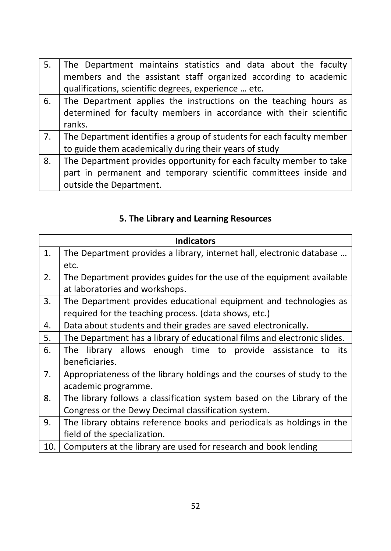| 5. | The Department maintains statistics and data about the faculty        |
|----|-----------------------------------------------------------------------|
|    | members and the assistant staff organized according to academic       |
|    | qualifications, scientific degrees, experience  etc.                  |
| 6. | The Department applies the instructions on the teaching hours as      |
|    | determined for faculty members in accordance with their scientific    |
|    | ranks.                                                                |
| 7. | The Department identifies a group of students for each faculty member |
|    | to guide them academically during their years of study                |
| 8. | The Department provides opportunity for each faculty member to take   |
|    | part in permanent and temporary scientific committees inside and      |
|    | outside the Department.                                               |

# **5. The Library and Learning Resources**

| <b>Indicators</b> |                                                                          |
|-------------------|--------------------------------------------------------------------------|
| 1.                | The Department provides a library, internet hall, electronic database    |
|                   | etc.                                                                     |
| 2.                | The Department provides guides for the use of the equipment available    |
|                   | at laboratories and workshops.                                           |
| 3.                | The Department provides educational equipment and technologies as        |
|                   | required for the teaching process. (data shows, etc.)                    |
| 4.                | Data about students and their grades are saved electronically.           |
| 5.                | The Department has a library of educational films and electronic slides. |
| 6.                | The library allows enough time to provide assistance to its              |
|                   | beneficiaries.                                                           |
| 7.                | Appropriateness of the library holdings and the courses of study to the  |
|                   | academic programme.                                                      |
| 8.                | The library follows a classification system based on the Library of the  |
|                   | Congress or the Dewy Decimal classification system.                      |
| 9.                | The library obtains reference books and periodicals as holdings in the   |
|                   | field of the specialization.                                             |
| 10.               | Computers at the library are used for research and book lending          |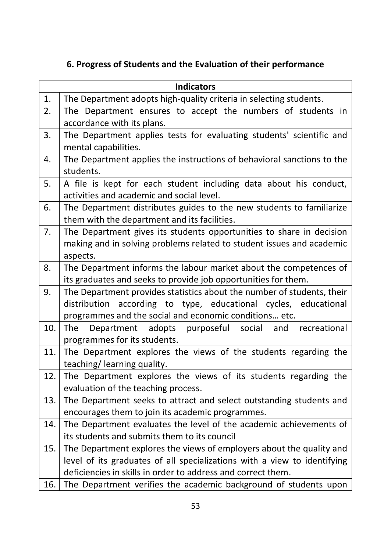# **6. Progress of Students and the Evaluation of their performance**

|     | <b>Indicators</b>                                                        |
|-----|--------------------------------------------------------------------------|
| 1.  | The Department adopts high-quality criteria in selecting students.       |
| 2.  | The Department ensures to accept the numbers of students in              |
|     | accordance with its plans.                                               |
| 3.  | The Department applies tests for evaluating students' scientific and     |
|     | mental capabilities.                                                     |
| 4.  | The Department applies the instructions of behavioral sanctions to the   |
|     | students.                                                                |
| 5.  | A file is kept for each student including data about his conduct,        |
|     | activities and academic and social level.                                |
| 6.  | The Department distributes guides to the new students to familiarize     |
|     | them with the department and its facilities.                             |
| 7.  | The Department gives its students opportunities to share in decision     |
|     | making and in solving problems related to student issues and academic    |
|     | aspects.                                                                 |
| 8.  | The Department informs the labour market about the competences of        |
|     | its graduates and seeks to provide job opportunities for them.           |
| 9.  | The Department provides statistics about the number of students, their   |
|     | distribution according to type, educational cycles, educational          |
|     | programmes and the social and economic conditions etc.                   |
| 10. | Department adopts<br>purposeful social<br>recreational<br>The<br>and     |
|     | programmes for its students.                                             |
| 11. | The Department explores the views of the students regarding the          |
|     | teaching/ learning quality.                                              |
| 12. | The Department explores the views of its students regarding the          |
|     | evaluation of the teaching process.                                      |
| 13. | The Department seeks to attract and select outstanding students and      |
|     | encourages them to join its academic programmes.                         |
| 14. | The Department evaluates the level of the academic achievements of       |
|     | its students and submits them to its council                             |
| 15. | The Department explores the views of employers about the quality and     |
|     | level of its graduates of all specializations with a view to identifying |
|     | deficiencies in skills in order to address and correct them.             |
| 16. | The Department verifies the academic background of students upon         |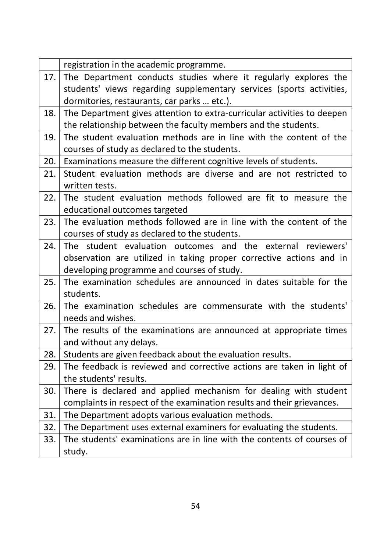|     | registration in the academic programme.                                 |
|-----|-------------------------------------------------------------------------|
| 17. | The Department conducts studies where it regularly explores the         |
|     | students' views regarding supplementary services (sports activities,    |
|     | dormitories, restaurants, car parks  etc.).                             |
| 18. | The Department gives attention to extra-curricular activities to deepen |
|     | the relationship between the faculty members and the students.          |
| 19. | The student evaluation methods are in line with the content of the      |
|     | courses of study as declared to the students.                           |
| 20. | Examinations measure the different cognitive levels of students.        |
| 21. | Student evaluation methods are diverse and are not restricted to        |
|     | written tests.                                                          |
| 22. | The student evaluation methods followed are fit to measure the          |
|     | educational outcomes targeted                                           |
| 23. | The evaluation methods followed are in line with the content of the     |
|     | courses of study as declared to the students.                           |
| 24. | The student evaluation outcomes and the external reviewers'             |
|     | observation are utilized in taking proper corrective actions and in     |
|     | developing programme and courses of study.                              |
| 25. | The examination schedules are announced in dates suitable for the       |
|     | students.                                                               |
| 26. | The examination schedules are commensurate with the students'           |
|     | needs and wishes.                                                       |
| 27. | The results of the examinations are announced at appropriate times      |
|     | and without any delays.                                                 |
| 28. | Students are given feedback about the evaluation results.               |
| 29. | The feedback is reviewed and corrective actions are taken in light of   |
|     | the students' results.                                                  |
| 30. | There is declared and applied mechanism for dealing with student        |
|     | complaints in respect of the examination results and their grievances.  |
| 31. | The Department adopts various evaluation methods.                       |
| 32. | The Department uses external examiners for evaluating the students.     |
| 33. | The students' examinations are in line with the contents of courses of  |
|     | study.                                                                  |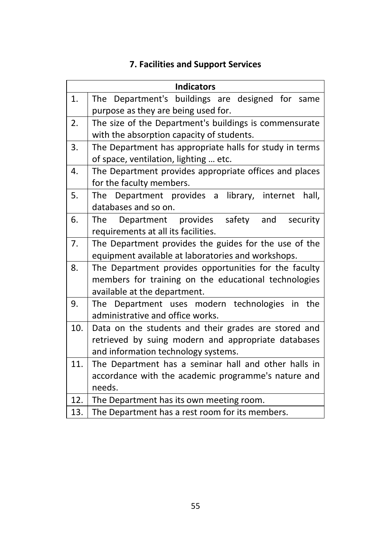# **7. Facilities and Support Services**

|     | <b>Indicators</b>                                       |
|-----|---------------------------------------------------------|
| 1.  | Department's buildings are designed for same<br>The     |
|     | purpose as they are being used for.                     |
| 2.  | The size of the Department's buildings is commensurate  |
|     | with the absorption capacity of students.               |
| 3.  | The Department has appropriate halls for study in terms |
|     | of space, ventilation, lighting  etc.                   |
| 4.  | The Department provides appropriate offices and places  |
|     | for the faculty members.                                |
| 5.  | The Department provides a library, internet<br>hall,    |
|     | databases and so on.                                    |
| 6.  | Department provides safety and<br>The<br>security       |
|     | requirements at all its facilities.                     |
| 7.  | The Department provides the guides for the use of the   |
|     | equipment available at laboratories and workshops.      |
| 8.  | The Department provides opportunities for the faculty   |
|     | members for training on the educational technologies    |
|     | available at the department.                            |
| 9.  | The Department uses modern technologies in<br>the       |
|     | administrative and office works.                        |
| 10. | Data on the students and their grades are stored and    |
|     | retrieved by suing modern and appropriate databases     |
|     | and information technology systems.                     |
| 11. | The Department has a seminar hall and other halls in    |
|     | accordance with the academic programme's nature and     |
|     | needs.                                                  |
| 12. | The Department has its own meeting room.                |
| 13. | The Department has a rest room for its members.         |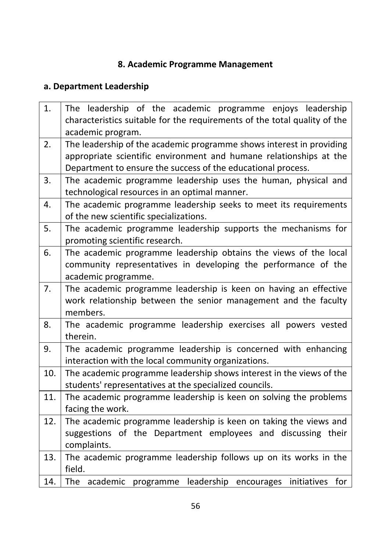# **8. Academic Programme Management**

# **a. Department Leadership**

| 1.  | The leadership of the academic programme enjoys leadership                |
|-----|---------------------------------------------------------------------------|
|     | characteristics suitable for the requirements of the total quality of the |
|     | academic program.                                                         |
| 2.  | The leadership of the academic programme shows interest in providing      |
|     | appropriate scientific environment and humane relationships at the        |
|     | Department to ensure the success of the educational process.              |
| 3.  | The academic programme leadership uses the human, physical and            |
|     | technological resources in an optimal manner.                             |
| 4.  | The academic programme leadership seeks to meet its requirements          |
|     | of the new scientific specializations.                                    |
| 5.  | The academic programme leadership supports the mechanisms for             |
|     | promoting scientific research.                                            |
| 6.  | The academic programme leadership obtains the views of the local          |
|     | community representatives in developing the performance of the            |
|     | academic programme.                                                       |
| 7.  | The academic programme leadership is keen on having an effective          |
|     | work relationship between the senior management and the faculty           |
|     | members.                                                                  |
| 8.  | The academic programme leadership exercises all powers vested             |
|     | therein.                                                                  |
| 9.  | The academic programme leadership is concerned with enhancing             |
|     | interaction with the local community organizations.                       |
| 10. | The academic programme leadership shows interest in the views of the      |
|     | students' representatives at the specialized councils.                    |
| 11. | The academic programme leadership is keen on solving the problems         |
|     | facing the work.                                                          |
| 12. | The academic programme leadership is keen on taking the views and         |
|     | suggestions of the Department employees and discussing their              |
|     | complaints.                                                               |
| 13. | The academic programme leadership follows up on its works in the          |
|     | field.                                                                    |
| 14. | The academic programme<br>leadership encourages initiatives<br>for        |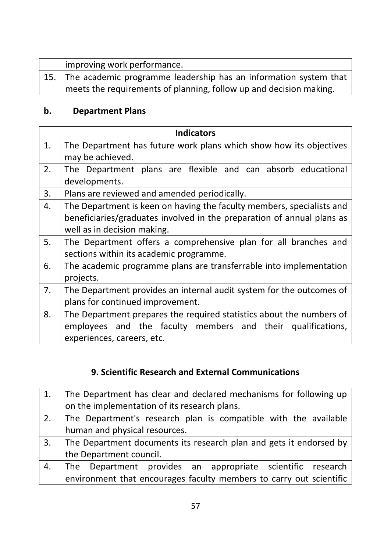| improving work performance.                                          |
|----------------------------------------------------------------------|
| 15. The academic programme leadership has an information system that |
| meets the requirements of planning, follow up and decision making.   |

# **b. Department Plans**

| <b>Indicators</b> |                                                                        |
|-------------------|------------------------------------------------------------------------|
| 1.                | The Department has future work plans which show how its objectives     |
|                   | may be achieved.                                                       |
| 2.                | The Department plans are flexible and can absorb educational           |
|                   | developments.                                                          |
| 3.                | Plans are reviewed and amended periodically.                           |
| 4.                | The Department is keen on having the faculty members, specialists and  |
|                   | beneficiaries/graduates involved in the preparation of annual plans as |
|                   | well as in decision making.                                            |
| 5.                | The Department offers a comprehensive plan for all branches and        |
|                   | sections within its academic programme.                                |
| 6.                | The academic programme plans are transferrable into implementation     |
|                   | projects.                                                              |
| 7.                | The Department provides an internal audit system for the outcomes of   |
|                   | plans for continued improvement.                                       |
| 8.                | The Department prepares the required statistics about the numbers of   |
|                   | employees and the faculty members and their qualifications,            |
|                   | experiences, careers, etc.                                             |

# **9. Scientific Research and External Communications**

|    | The Department has clear and declared mechanisms for following up   |
|----|---------------------------------------------------------------------|
|    | on the implementation of its research plans.                        |
| 2. | The Department's research plan is compatible with the available     |
|    | human and physical resources.                                       |
| 3. | The Department documents its research plan and gets it endorsed by  |
|    | the Department council.                                             |
| 4. | The Department provides an appropriate scientific research          |
|    | environment that encourages faculty members to carry out scientific |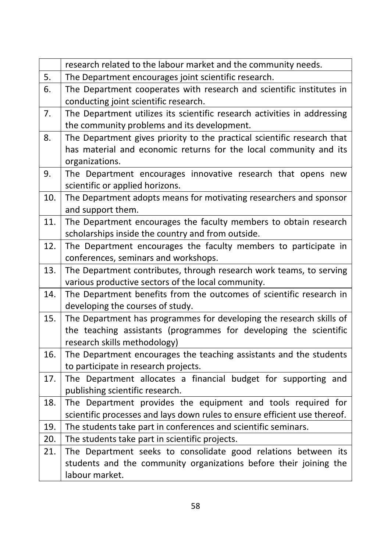|     | research related to the labour market and the community needs.            |
|-----|---------------------------------------------------------------------------|
| 5.  | The Department encourages joint scientific research.                      |
| 6.  | The Department cooperates with research and scientific institutes in      |
|     | conducting joint scientific research.                                     |
| 7.  | The Department utilizes its scientific research activities in addressing  |
|     | the community problems and its development.                               |
| 8.  | The Department gives priority to the practical scientific research that   |
|     | has material and economic returns for the local community and its         |
|     | organizations.                                                            |
| 9.  | The Department encourages innovative research that opens new              |
|     | scientific or applied horizons.                                           |
| 10. | The Department adopts means for motivating researchers and sponsor        |
|     | and support them.                                                         |
| 11. | The Department encourages the faculty members to obtain research          |
|     | scholarships inside the country and from outside.                         |
| 12. | The Department encourages the faculty members to participate in           |
|     | conferences, seminars and workshops.                                      |
| 13. | The Department contributes, through research work teams, to serving       |
|     | various productive sectors of the local community.                        |
| 14. | The Department benefits from the outcomes of scientific research in       |
|     | developing the courses of study.                                          |
| 15. | The Department has programmes for developing the research skills of       |
|     | the teaching assistants (programmes for developing the scientific         |
|     | research skills methodology)                                              |
| 16. | The Department encourages the teaching assistants and the students        |
|     | to participate in research projects.                                      |
| 17. | The Department allocates a financial budget for supporting and            |
|     | publishing scientific research.                                           |
| 18. | The Department provides the equipment and tools required for              |
|     | scientific processes and lays down rules to ensure efficient use thereof. |
| 19. | The students take part in conferences and scientific seminars.            |
| 20. | The students take part in scientific projects.                            |
| 21. | The Department seeks to consolidate good relations between its            |
|     | students and the community organizations before their joining the         |
|     | labour market.                                                            |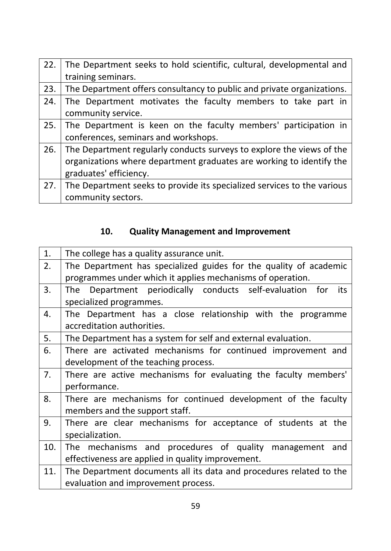| 22. | The Department seeks to hold scientific, cultural, developmental and    |
|-----|-------------------------------------------------------------------------|
|     | training seminars.                                                      |
| 23. | The Department offers consultancy to public and private organizations.  |
| 24. | The Department motivates the faculty members to take part in            |
|     | community service.                                                      |
| 25. | The Department is keen on the faculty members' participation in         |
|     | conferences, seminars and workshops.                                    |
| 26. | The Department regularly conducts surveys to explore the views of the   |
|     | organizations where department graduates are working to identify the    |
|     | graduates' efficiency.                                                  |
| 27. | The Department seeks to provide its specialized services to the various |
|     | community sectors.                                                      |

# **10. Quality Management and Improvement**

| 1.  | The college has a quality assurance unit.                           |
|-----|---------------------------------------------------------------------|
| 2.  | The Department has specialized guides for the quality of academic   |
|     | programmes under which it applies mechanisms of operation.          |
| 3.  | Department periodically conducts self-evaluation for its<br>The l   |
|     | specialized programmes.                                             |
| 4.  | The Department has a close relationship with the programme          |
|     | accreditation authorities.                                          |
| 5.  | The Department has a system for self and external evaluation.       |
| 6.  | There are activated mechanisms for continued improvement and        |
|     | development of the teaching process.                                |
| 7.  | There are active mechanisms for evaluating the faculty members'     |
|     | performance.                                                        |
| 8.  | There are mechanisms for continued development of the faculty       |
|     | members and the support staff.                                      |
| 9.  | There are clear mechanisms for acceptance of students at the        |
|     | specialization.                                                     |
| 10. | The mechanisms and procedures of quality<br>management and          |
|     | effectiveness are applied in quality improvement.                   |
| 11. | The Department documents all its data and procedures related to the |
|     | evaluation and improvement process.                                 |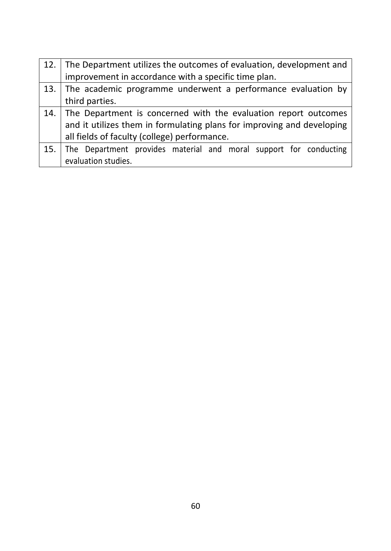|     | 12. The Department utilizes the outcomes of evaluation, development and |
|-----|-------------------------------------------------------------------------|
|     | improvement in accordance with a specific time plan.                    |
|     | 13. The academic programme underwent a performance evaluation by        |
|     | third parties.                                                          |
| 14. | The Department is concerned with the evaluation report outcomes         |
|     | and it utilizes them in formulating plans for improving and developing  |
|     | all fields of faculty (college) performance.                            |
| 15. | The Department provides material and moral support for conducting       |
|     | evaluation studies.                                                     |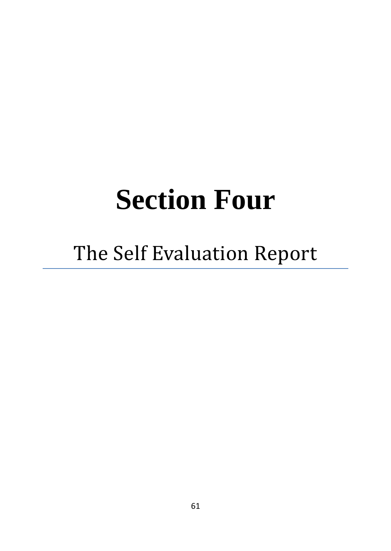# **Section Four**

# The Self Evaluation Report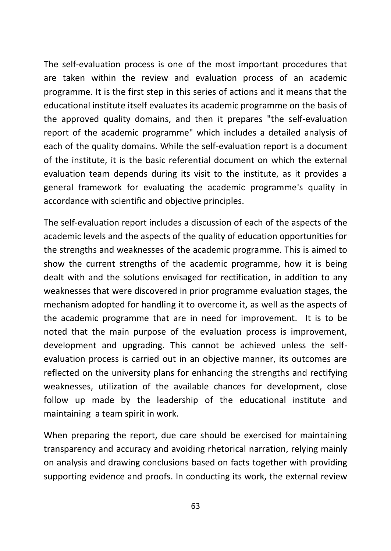The self-evaluation process is one of the most important procedures that are taken within the review and evaluation process of an academic programme. It is the first step in this series of actions and it means that the educational institute itself evaluates its academic programme on the basis of the approved quality domains, and then it prepares "the self-evaluation report of the academic programme" which includes a detailed analysis of each of the quality domains. While the self-evaluation report is a document of the institute, it is the basic referential document on which the external evaluation team depends during its visit to the institute, as it provides a general framework for evaluating the academic programme's quality in accordance with scientific and objective principles.

The self-evaluation report includes a discussion of each of the aspects of the academic levels and the aspects of the quality of education opportunities for the strengths and weaknesses of the academic programme. This is aimed to show the current strengths of the academic programme, how it is being dealt with and the solutions envisaged for rectification, in addition to any weaknesses that were discovered in prior programme evaluation stages, the mechanism adopted for handling it to overcome it, as well as the aspects of the academic programme that are in need for improvement. It is to be noted that the main purpose of the evaluation process is improvement, development and upgrading. This cannot be achieved unless the selfevaluation process is carried out in an objective manner, its outcomes are reflected on the university plans for enhancing the strengths and rectifying weaknesses, utilization of the available chances for development, close follow up made by the leadership of the educational institute and maintaining a team spirit in work.

When preparing the report, due care should be exercised for maintaining transparency and accuracy and avoiding rhetorical narration, relying mainly on analysis and drawing conclusions based on facts together with providing supporting evidence and proofs. In conducting its work, the external review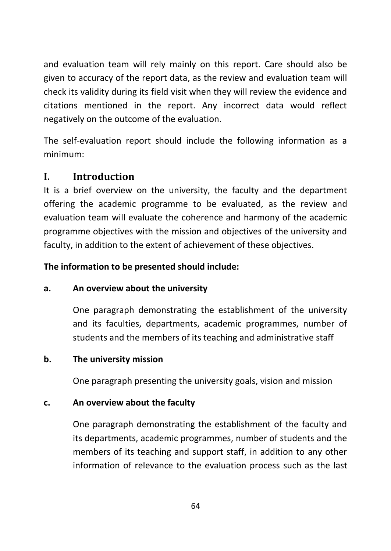and evaluation team will rely mainly on this report. Care should also be given to accuracy of the report data, as the review and evaluation team will check its validity during its field visit when they will review the evidence and citations mentioned in the report. Any incorrect data would reflect negatively on the outcome of the evaluation.

The self-evaluation report should include the following information as a minimum:

# **I. Introduction**

It is a brief overview on the university, the faculty and the department offering the academic programme to be evaluated, as the review and evaluation team will evaluate the coherence and harmony of the academic programme objectives with the mission and objectives of the university and faculty, in addition to the extent of achievement of these objectives.

#### **The information to be presented should include:**

#### **a. An overview about the university**

One paragraph demonstrating the establishment of the university and its faculties, departments, academic programmes, number of students and the members of its teaching and administrative staff

#### **b. The university mission**

One paragraph presenting the university goals, vision and mission

#### **c. An overview about the faculty**

One paragraph demonstrating the establishment of the faculty and its departments, academic programmes, number of students and the members of its teaching and support staff, in addition to any other information of relevance to the evaluation process such as the last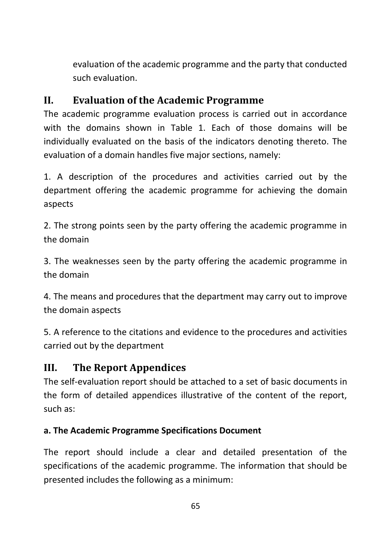evaluation of the academic programme and the party that conducted such evaluation.

# **II. Evaluation of the Academic Programme**

The academic programme evaluation process is carried out in accordance with the domains shown in Table 1. Each of those domains will be individually evaluated on the basis of the indicators denoting thereto. The evaluation of a domain handles five major sections, namely:

1. A description of the procedures and activities carried out by the department offering the academic programme for achieving the domain aspects

2. The strong points seen by the party offering the academic programme in the domain

3. The weaknesses seen by the party offering the academic programme in the domain

4. The means and procedures that the department may carry out to improve the domain aspects

5. A reference to the citations and evidence to the procedures and activities carried out by the department

#### **III. The Report Appendices**

The self-evaluation report should be attached to a set of basic documents in the form of detailed appendices illustrative of the content of the report, such as:

#### **a. The Academic Programme Specifications Document**

The report should include a clear and detailed presentation of the specifications of the academic programme. The information that should be presented includes the following as a minimum: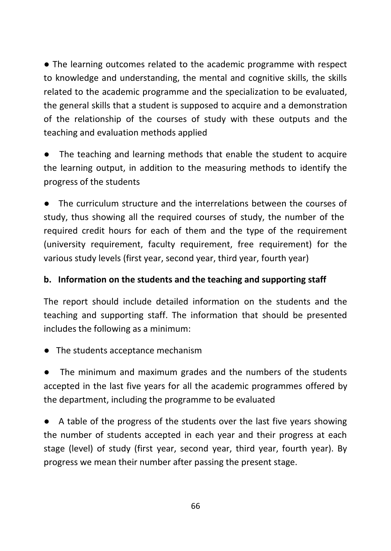● The learning outcomes related to the academic programme with respect to knowledge and understanding, the mental and cognitive skills, the skills related to the academic programme and the specialization to be evaluated, the general skills that a student is supposed to acquire and a demonstration of the relationship of the courses of study with these outputs and the teaching and evaluation methods applied

The teaching and learning methods that enable the student to acquire the learning output, in addition to the measuring methods to identify the progress of the students

The curriculum structure and the interrelations between the courses of study, thus showing all the required courses of study, the number of the required credit hours for each of them and the type of the requirement (university requirement, faculty requirement, free requirement) for the various study levels (first year, second year, third year, fourth year)

#### **b. Information on the students and the teaching and supporting staff**

The report should include detailed information on the students and the teaching and supporting staff. The information that should be presented includes the following as a minimum:

● The students acceptance mechanism

The minimum and maximum grades and the numbers of the students accepted in the last five years for all the academic programmes offered by the department, including the programme to be evaluated

● A table of the progress of the students over the last five years showing the number of students accepted in each year and their progress at each stage (level) of study (first year, second year, third year, fourth year). By progress we mean their number after passing the present stage.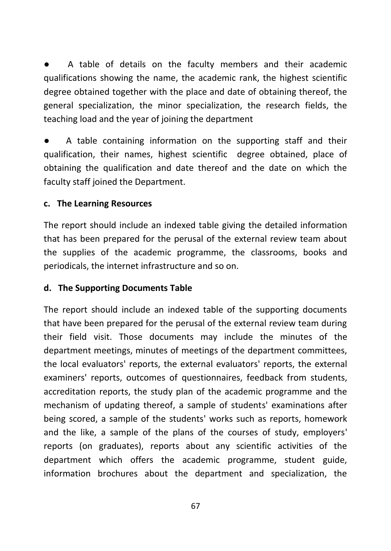A table of details on the faculty members and their academic qualifications showing the name, the academic rank, the highest scientific degree obtained together with the place and date of obtaining thereof, the general specialization, the minor specialization, the research fields, the teaching load and the year of joining the department

A table containing information on the supporting staff and their qualification, their names, highest scientific degree obtained, place of obtaining the qualification and date thereof and the date on which the faculty staff joined the Department.

#### **c. The Learning Resources**

The report should include an indexed table giving the detailed information that has been prepared for the perusal of the external review team about the supplies of the academic programme, the classrooms, books and periodicals, the internet infrastructure and so on.

#### **d. The Supporting Documents Table**

The report should include an indexed table of the supporting documents that have been prepared for the perusal of the external review team during their field visit. Those documents may include the minutes of the department meetings, minutes of meetings of the department committees, the local evaluators' reports, the external evaluators' reports, the external examiners' reports, outcomes of questionnaires, feedback from students, accreditation reports, the study plan of the academic programme and the mechanism of updating thereof, a sample of students' examinations after being scored, a sample of the students' works such as reports, homework and the like, a sample of the plans of the courses of study, employers' reports (on graduates), reports about any scientific activities of the department which offers the academic programme, student guide, information brochures about the department and specialization, the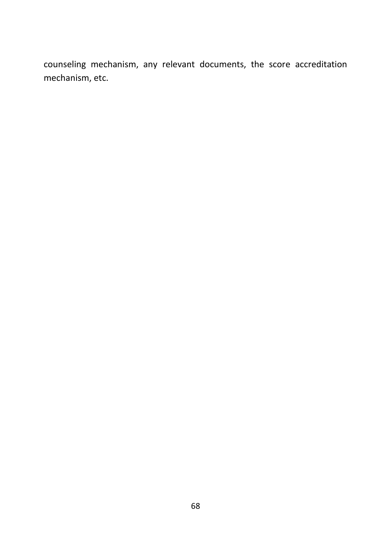counseling mechanism, any relevant documents, the score accreditation mechanism, etc.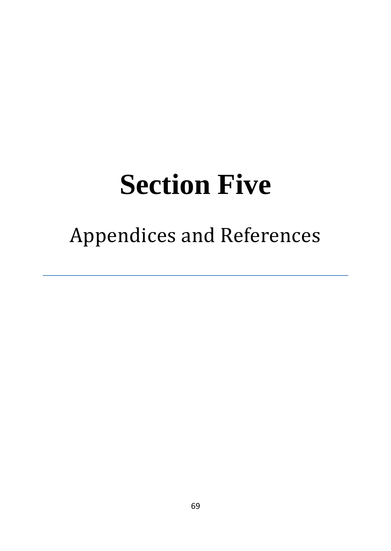# **Section Five**

# Appendices and References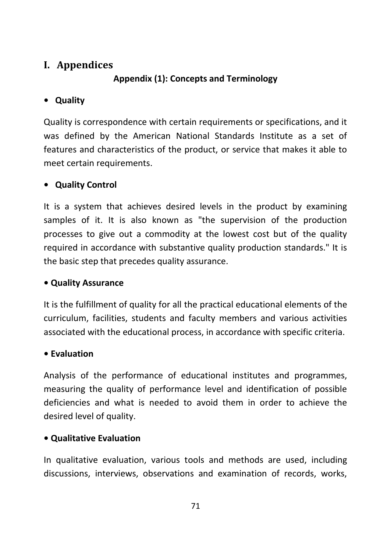# **I. Appendices**

# **Appendix (1): Concepts and Terminology**

# **• Quality**

Quality is correspondence with certain requirements or specifications, and it was defined by the American National Standards Institute as a set of features and characteristics of the product, or service that makes it able to meet certain requirements.

# **• Quality Control**

It is a system that achieves desired levels in the product by examining samples of it. It is also known as "the supervision of the production processes to give out a commodity at the lowest cost but of the quality required in accordance with substantive quality production standards." It is the basic step that precedes quality assurance.

#### **• Quality Assurance**

It is the fulfillment of quality for all the practical educational elements of the curriculum, facilities, students and faculty members and various activities associated with the educational process, in accordance with specific criteria.

#### **• Evaluation**

Analysis of the performance of educational institutes and programmes, measuring the quality of performance level and identification of possible deficiencies and what is needed to avoid them in order to achieve the desired level of quality.

#### **• Qualitative Evaluation**

In qualitative evaluation, various tools and methods are used, including discussions, interviews, observations and examination of records, works,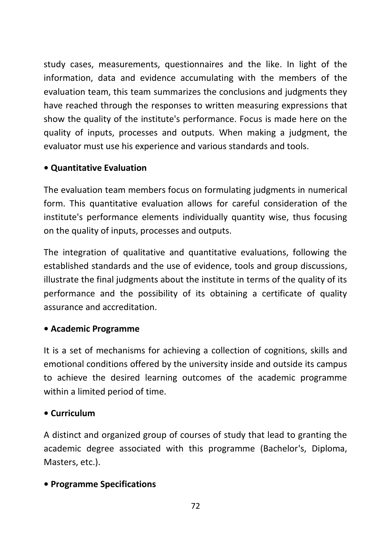study cases, measurements, questionnaires and the like. In light of the information, data and evidence accumulating with the members of the evaluation team, this team summarizes the conclusions and judgments they have reached through the responses to written measuring expressions that show the quality of the institute's performance. Focus is made here on the quality of inputs, processes and outputs. When making a judgment, the evaluator must use his experience and various standards and tools.

#### **• Quantitative Evaluation**

The evaluation team members focus on formulating judgments in numerical form. This quantitative evaluation allows for careful consideration of the institute's performance elements individually quantity wise, thus focusing on the quality of inputs, processes and outputs.

The integration of qualitative and quantitative evaluations, following the established standards and the use of evidence, tools and group discussions, illustrate the final judgments about the institute in terms of the quality of its performance and the possibility of its obtaining a certificate of quality assurance and accreditation.

#### **• Academic Programme**

It is a set of mechanisms for achieving a collection of cognitions, skills and emotional conditions offered by the university inside and outside its campus to achieve the desired learning outcomes of the academic programme within a limited period of time.

#### **• Curriculum**

A distinct and organized group of courses of study that lead to granting the academic degree associated with this programme (Bachelor's, Diploma, Masters, etc.).

#### **• Programme Specifications**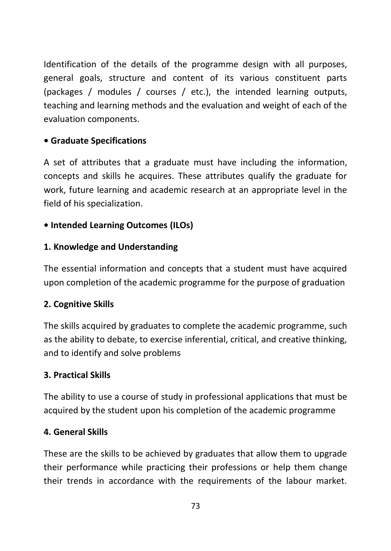Identification of the details of the programme design with all purposes, general goals, structure and content of its various constituent parts (packages / modules / courses / etc.), the intended learning outputs, teaching and learning methods and the evaluation and weight of each of the evaluation components.

### **• Graduate Specifications**

A set of attributes that a graduate must have including the information, concepts and skills he acquires. These attributes qualify the graduate for work, future learning and academic research at an appropriate level in the field of his specialization.

## **• Intended Learning Outcomes (ILOs)**

### **1. Knowledge and Understanding**

The essential information and concepts that a student must have acquired upon completion of the academic programme for the purpose of graduation

#### **2. Cognitive Skills**

The skills acquired by graduates to complete the academic programme, such as the ability to debate, to exercise inferential, critical, and creative thinking, and to identify and solve problems

#### **3. Practical Skills**

The ability to use a course of study in professional applications that must be acquired by the student upon his completion of the academic programme

#### **4. General Skills**

These are the skills to be achieved by graduates that allow them to upgrade their performance while practicing their professions or help them change their trends in accordance with the requirements of the labour market.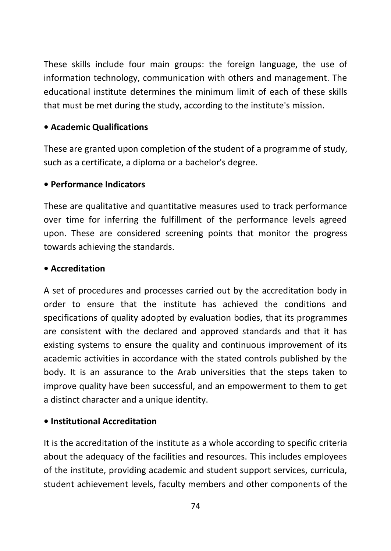These skills include four main groups: the foreign language, the use of information technology, communication with others and management. The educational institute determines the minimum limit of each of these skills that must be met during the study, according to the institute's mission.

## **• Academic Qualifications**

These are granted upon completion of the student of a programme of study, such as a certificate, a diploma or a bachelor's degree.

### **• Performance Indicators**

These are qualitative and quantitative measures used to track performance over time for inferring the fulfillment of the performance levels agreed upon. These are considered screening points that monitor the progress towards achieving the standards.

#### **• Accreditation**

A set of procedures and processes carried out by the accreditation body in order to ensure that the institute has achieved the conditions and specifications of quality adopted by evaluation bodies, that its programmes are consistent with the declared and approved standards and that it has existing systems to ensure the quality and continuous improvement of its academic activities in accordance with the stated controls published by the body. It is an assurance to the Arab universities that the steps taken to improve quality have been successful, and an empowerment to them to get a distinct character and a unique identity.

#### **• Institutional Accreditation**

It is the accreditation of the institute as a whole according to specific criteria about the adequacy of the facilities and resources. This includes employees of the institute, providing academic and student support services, curricula, student achievement levels, faculty members and other components of the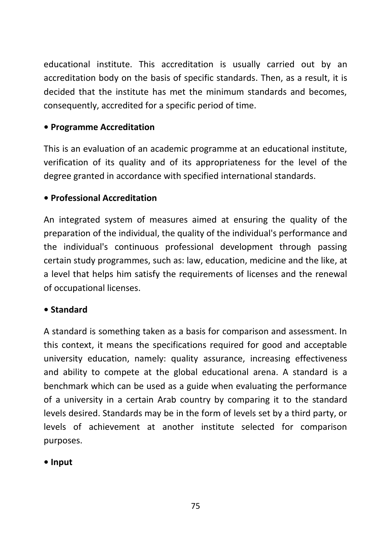educational institute. This accreditation is usually carried out by an accreditation body on the basis of specific standards. Then, as a result, it is decided that the institute has met the minimum standards and becomes, consequently, accredited for a specific period of time.

### **• Programme Accreditation**

This is an evaluation of an academic programme at an educational institute, verification of its quality and of its appropriateness for the level of the degree granted in accordance with specified international standards.

### **• Professional Accreditation**

An integrated system of measures aimed at ensuring the quality of the preparation of the individual, the quality of the individual's performance and the individual's continuous professional development through passing certain study programmes, such as: law, education, medicine and the like, at a level that helps him satisfy the requirements of licenses and the renewal of occupational licenses.

## **• Standard**

A standard is something taken as a basis for comparison and assessment. In this context, it means the specifications required for good and acceptable university education, namely: quality assurance, increasing effectiveness and ability to compete at the global educational arena. A standard is a benchmark which can be used as a guide when evaluating the performance of a university in a certain Arab country by comparing it to the standard levels desired. Standards may be in the form of levels set by a third party, or levels of achievement at another institute selected for comparison purposes.

**• Input**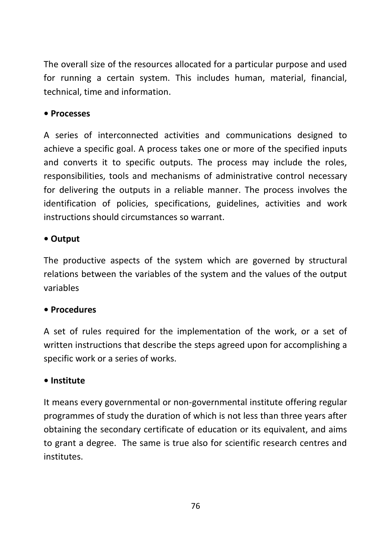The overall size of the resources allocated for a particular purpose and used for running a certain system. This includes human, material, financial, technical, time and information.

### **• Processes**

A series of interconnected activities and communications designed to achieve a specific goal. A process takes one or more of the specified inputs and converts it to specific outputs. The process may include the roles, responsibilities, tools and mechanisms of administrative control necessary for delivering the outputs in a reliable manner. The process involves the identification of policies, specifications, guidelines, activities and work instructions should circumstances so warrant.

### **• Output**

The productive aspects of the system which are governed by structural relations between the variables of the system and the values of the output variables

#### **• Procedures**

A set of rules required for the implementation of the work, or a set of written instructions that describe the steps agreed upon for accomplishing a specific work or a series of works.

## **• Institute**

It means every governmental or non-governmental institute offering regular programmes of study the duration of which is not less than three years after obtaining the secondary certificate of education or its equivalent, and aims to grant a degree. The same is true also for scientific research centres and institutes.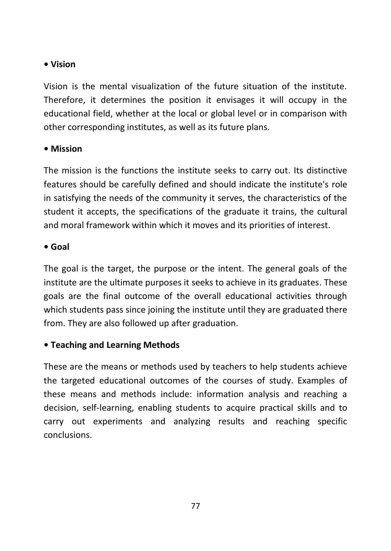## **• Vision**

Vision is the mental visualization of the future situation of the institute. Therefore, it determines the position it envisages it will occupy in the educational field, whether at the local or global level or in comparison with other corresponding institutes, as well as its future plans.

## **• Mission**

The mission is the functions the institute seeks to carry out. Its distinctive features should be carefully defined and should indicate the institute's role in satisfying the needs of the community it serves, the characteristics of the student it accepts, the specifications of the graduate it trains, the cultural and moral framework within which it moves and its priorities of interest.

### **• Goal**

The goal is the target, the purpose or the intent. The general goals of the institute are the ultimate purposes it seeks to achieve in its graduates. These goals are the final outcome of the overall educational activities through which students pass since joining the institute until they are graduated there from. They are also followed up after graduation.

#### **• Teaching and Learning Methods**

These are the means or methods used by teachers to help students achieve the targeted educational outcomes of the courses of study. Examples of these means and methods include: information analysis and reaching a decision, self-learning, enabling students to acquire practical skills and to carry out experiments and analyzing results and reaching specific conclusions.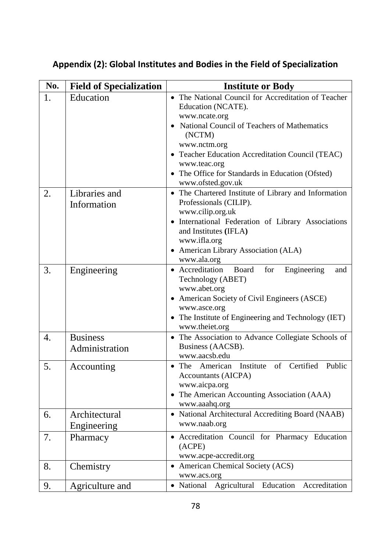| No. | <b>Field of Specialization</b>    | <b>Institute or Body</b>                                                                                                                                                                                                                                                                                           |
|-----|-----------------------------------|--------------------------------------------------------------------------------------------------------------------------------------------------------------------------------------------------------------------------------------------------------------------------------------------------------------------|
| 1.  | Education                         | • The National Council for Accreditation of Teacher<br>Education (NCATE).<br>www.ncate.org<br>• National Council of Teachers of Mathematics<br>(NCTM)<br>www.nctm.org<br>• Teacher Education Accreditation Council (TEAC)<br>www.teac.org<br>• The Office for Standards in Education (Ofsted)<br>www.ofsted.gov.uk |
| 2.  | Libraries and<br>Information      | • The Chartered Institute of Library and Information<br>Professionals (CILIP).<br>www.cilip.org.uk<br>· International Federation of Library Associations<br>and Institutes (IFLA)<br>www.ifla.org<br>• American Library Association (ALA)<br>www.ala.org                                                           |
| 3.  | Engineering                       | • Accreditation<br>Board<br>for<br>Engineering<br>and<br>Technology (ABET)<br>www.abet.org<br>• American Society of Civil Engineers (ASCE)<br>www.asce.org<br>• The Institute of Engineering and Technology (IET)<br>www.theiet.org                                                                                |
| 4.  | <b>Business</b><br>Administration | • The Association to Advance Collegiate Schools of<br>Business (AACSB).<br>www.aacsb.edu                                                                                                                                                                                                                           |
| 5.  | Accounting                        | of Certified Public<br>• The American<br>Institute<br>Accountants (AICPA)<br>www.aicpa.org<br>• The American Accounting Association (AAA)<br>www.aaahq.org                                                                                                                                                         |
| 6.  | Architectural<br>Engineering      | • National Architectural Accrediting Board (NAAB)<br>www.naab.org                                                                                                                                                                                                                                                  |
| 7.  | Pharmacy                          | · Accreditation Council for Pharmacy Education<br>(ACPE)<br>www.acpe-accredit.org                                                                                                                                                                                                                                  |
| 8.  | Chemistry                         | • American Chemical Society (ACS)                                                                                                                                                                                                                                                                                  |

# **Appendix (2): Global Institutes and Bodies in the Field of Specialization**

 www.acs.org 9. Agriculture and <br>• National Agricultural Education Accreditation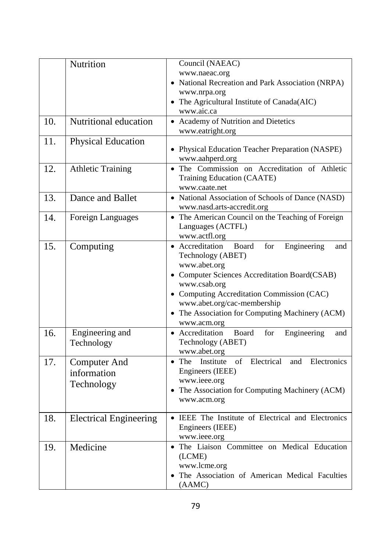|     | Nutrition                     | Council (NAEAC)                                               |
|-----|-------------------------------|---------------------------------------------------------------|
|     |                               | www.naeac.org                                                 |
|     |                               | • National Recreation and Park Association (NRPA)             |
|     |                               | www.nrpa.org                                                  |
|     |                               | • The Agricultural Institute of Canada(AIC)                   |
|     |                               | www.aic.ca                                                    |
| 10. | Nutritional education         | • Academy of Nutrition and Dietetics<br>www.eatright.org      |
| 11. |                               |                                                               |
|     | <b>Physical Education</b>     | • Physical Education Teacher Preparation (NASPE)              |
|     |                               | www.aahperd.org                                               |
| 12. | <b>Athletic Training</b>      | • The Commission on Accreditation of Athletic                 |
|     |                               | Training Education (CAATE)                                    |
|     |                               | www.caate.net                                                 |
| 13. | Dance and Ballet              | • National Association of Schools of Dance (NASD)             |
|     |                               | www.nasd.arts-accredit.org                                    |
| 14. | Foreign Languages             | • The American Council on the Teaching of Foreign             |
|     |                               | Languages (ACTFL)                                             |
|     |                               | www.actfl.org                                                 |
| 15. | Computing                     | Engineering<br>• Accreditation<br>Board<br>for<br>and         |
|     |                               | Technology (ABET)                                             |
|     |                               | www.abet.org                                                  |
|     |                               | • Computer Sciences Accreditation Board(CSAB)<br>www.csab.org |
|     |                               | • Computing Accreditation Commission (CAC)                    |
|     |                               | www.abet.org/cac-membership                                   |
|     |                               | • The Association for Computing Machinery (ACM)               |
|     |                               | www.acm.org                                                   |
| 16. | Engineering and               | • Accreditation<br>Board<br>for<br>Engineering<br>and         |
|     | Technology                    | Technology (ABET)                                             |
|     |                               | www.abet.org                                                  |
| 17. | <b>Computer And</b>           | of<br>Electrical<br>Electronics<br>• The Institute<br>and     |
|     | information                   | Engineers (IEEE)                                              |
|     | Technology                    | www.ieee.org                                                  |
|     |                               | • The Association for Computing Machinery (ACM)               |
|     |                               | www.acm.org                                                   |
| 18. | <b>Electrical Engineering</b> | • IEEE The Institute of Electrical and Electronics            |
|     |                               | Engineers (IEEE)                                              |
|     |                               | www.ieee.org                                                  |
| 19. | Medicine                      | • The Liaison Committee on Medical Education                  |
|     |                               | (LCME)                                                        |
|     |                               | www.lcme.org                                                  |
|     |                               | • The Association of American Medical Faculties               |
|     |                               | (AAMC)                                                        |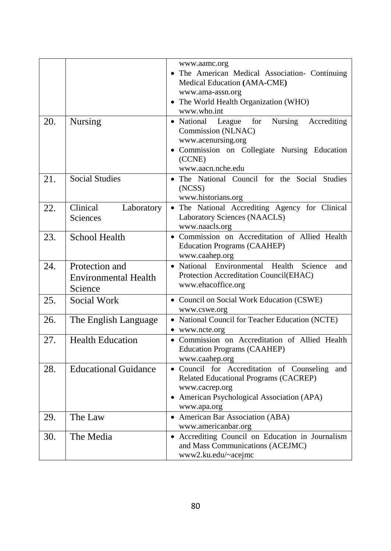|     |                                                          | www.aamc.org<br>• The American Medical Association- Continuing<br>Medical Education (AMA-CME)<br>www.ama-assn.org<br>• The World Health Organization (WHO)<br>www.who.int        |
|-----|----------------------------------------------------------|----------------------------------------------------------------------------------------------------------------------------------------------------------------------------------|
| 20. | Nursing                                                  | Nursing<br>• National<br>for<br>League<br>Accrediting<br>Commission (NLNAC)<br>www.acenursing.org<br>· Commission on Collegiate Nursing Education<br>(CCNE)<br>www.aacn.nche.edu |
| 21. | <b>Social Studies</b>                                    | • The National Council for the Social Studies<br>(NCSS)<br>www.historians.org                                                                                                    |
| 22. | Clinical<br>Laboratory<br>Sciences                       | · The National Accrediting Agency for Clinical<br>Laboratory Sciences (NAACLS)<br>www.naacls.org                                                                                 |
| 23. | <b>School Health</b>                                     | · Commission on Accreditation of Allied Health<br><b>Education Programs (CAAHEP)</b><br>www.caahep.org                                                                           |
| 24. | Protection and<br><b>Environmental Health</b><br>Science | Health<br>· National Environmental<br>Science<br>and<br>Protection Accreditation Council(EHAC)<br>www.ehacoffice.org                                                             |
| 25. | <b>Social Work</b>                                       | • Council on Social Work Education (CSWE)<br>www.cswe.org                                                                                                                        |
| 26. | The English Language                                     | • National Council for Teacher Education (NCTE)<br>• www.ncte.org                                                                                                                |
| 27. | <b>Health Education</b>                                  | · Commission on Accreditation of Allied Health<br><b>Education Programs (CAAHEP)</b><br>www.caahep.org                                                                           |
| 28. | Educational Guidance                                     | • Council for Accreditation of Counseling<br>and<br>Related Educational Programs (CACREP)<br>www.cacrep.org<br>• American Psychological Association (APA)<br>www.apa.org         |
| 29. | The Law                                                  | • American Bar Association (ABA)<br>www.americanbar.org                                                                                                                          |
| 30. | The Media                                                | • Accrediting Council on Education in Journalism<br>and Mass Communications (ACEJMC)<br>www2.ku.edu/~acejmc                                                                      |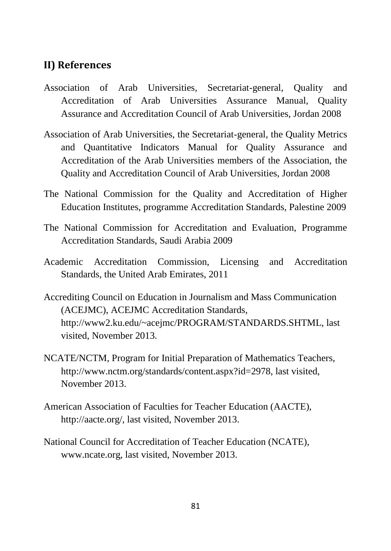# **II) References**

- Association of Arab Universities, Secretariat-general, Quality and Accreditation of Arab Universities Assurance Manual, Quality Assurance and Accreditation Council of Arab Universities, Jordan 2008
- Association of Arab Universities, the Secretariat-general, the Quality Metrics and Quantitative Indicators Manual for Quality Assurance and Accreditation of the Arab Universities members of the Association, the Quality and Accreditation Council of Arab Universities, Jordan 2008
- The National Commission for the Quality and Accreditation of Higher Education Institutes, programme Accreditation Standards, Palestine 2009
- The National Commission for Accreditation and Evaluation, Programme Accreditation Standards, Saudi Arabia 2009
- Academic Accreditation Commission, Licensing and Accreditation Standards, the United Arab Emirates, 2011
- Accrediting Council on Education in Journalism and Mass Communication (ACEJMC), ACEJMC Accreditation Standards, http://www2.ku.edu/~acejmc/PROGRAM/STANDARDS.SHTML, last visited, November 2013.
- NCATE/NCTM, Program for Initial Preparation of Mathematics Teachers, http://www.nctm.org/standards/content.aspx?id=2978, last visited, November 2013.
- American Association of Faculties for Teacher Education (AACTE), http://aacte.org/, last visited, November 2013.
- National Council for Accreditation of Teacher Education (NCATE), www.ncate.org, last visited, November 2013.